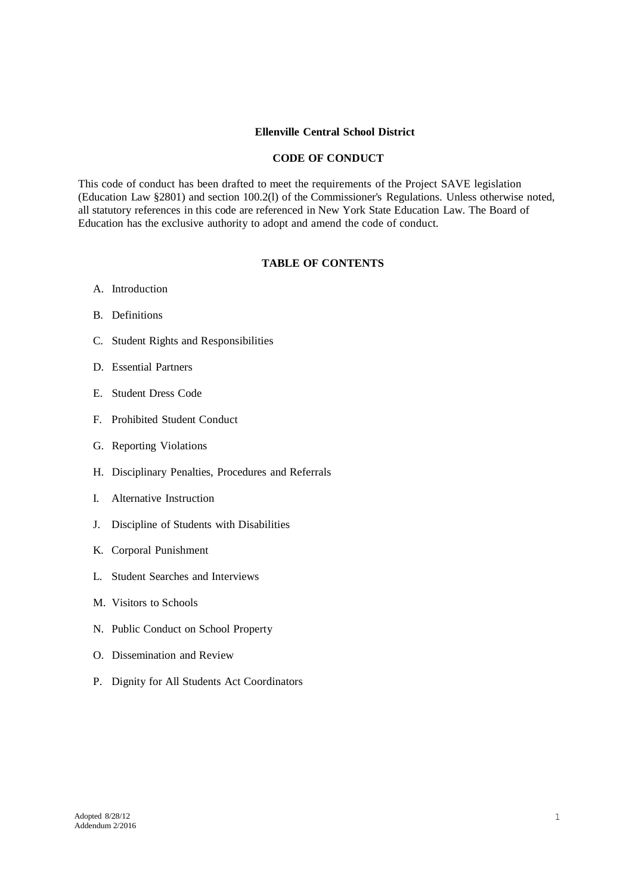# **Ellenville Central School District**

### **CODE OF CONDUCT**

This code of conduct has been drafted to meet the requirements of the Project SAVE legislation (Education Law §2801) and section 100.2(l) of the Commissioner's Regulations. Unless otherwise noted, all statutory references in this code are referenced in New York State Education Law. The Board of Education has the exclusive authority to adopt and amend the code of conduct.

### **TABLE OF CONTENTS**

- A. Introduction
- B. Definitions
- C. Student Rights and Responsibilities
- D. Essential Partners
- E. Student Dress Code
- F. Prohibited Student Conduct
- G. Reporting Violations
- H. Disciplinary Penalties, Procedures and Referrals
- I. Alternative Instruction
- J. Discipline of Students with Disabilities
- K. Corporal Punishment
- L. Student Searches and Interviews
- M. Visitors to Schools
- N. Public Conduct on School Property
- O. Dissemination and Review
- P. Dignity for All Students Act Coordinators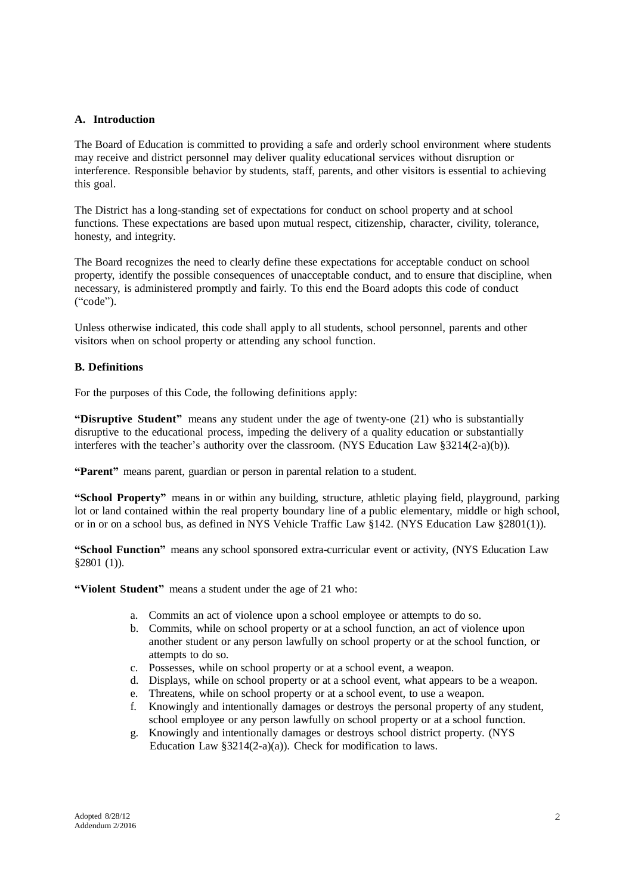## **A. Introduction**

The Board of Education is committed to providing a safe and orderly school environment where students may receive and district personnel may deliver quality educational services without disruption or interference. Responsible behavior by students, staff, parents, and other visitors is essential to achieving this goal.

The District has a long-standing set of expectations for conduct on school property and at school functions. These expectations are based upon mutual respect, citizenship, character, civility, tolerance, honesty, and integrity.

The Board recognizes the need to clearly define these expectations for acceptable conduct on school property, identify the possible consequences of unacceptable conduct, and to ensure that discipline, when necessary, is administered promptly and fairly. To this end the Board adopts this code of conduct ("code").

Unless otherwise indicated, this code shall apply to all students, school personnel, parents and other visitors when on school property or attending any school function.

## **B. Definitions**

For the purposes of this Code, the following definitions apply:

**"Disruptive Student"** means any student under the age of twenty-one (21) who is substantially disruptive to the educational process, impeding the delivery of a quality education or substantially interferes with the teacher's authority over the classroom. (NYS Education Law §3214(2-a)(b)).

**"Parent"** means parent, guardian or person in parental relation to a student.

**"School Property"** means in or within any building, structure, athletic playing field, playground, parking lot or land contained within the real property boundary line of a public elementary, middle or high school, or in or on a school bus, as defined in NYS Vehicle Traffic Law §142. (NYS Education Law §2801(1)).

**"School Function"** means any school sponsored extra-curricular event or activity, (NYS Education Law §2801 (1)).

**"Violent Student"** means a student under the age of 21 who:

- a. Commits an act of violence upon a school employee or attempts to do so.
- b. Commits, while on school property or at a school function, an act of violence upon another student or any person lawfully on school property or at the school function, or attempts to do so.
- c. Possesses, while on school property or at a school event, a weapon.
- d. Displays, while on school property or at a school event, what appears to be a weapon.
- e. Threatens, while on school property or at a school event, to use a weapon.
- f. Knowingly and intentionally damages or destroys the personal property of any student, school employee or any person lawfully on school property or at a school function.
- g. Knowingly and intentionally damages or destroys school district property. (NYS Education Law §3214(2-a)(a)). Check for modification to laws.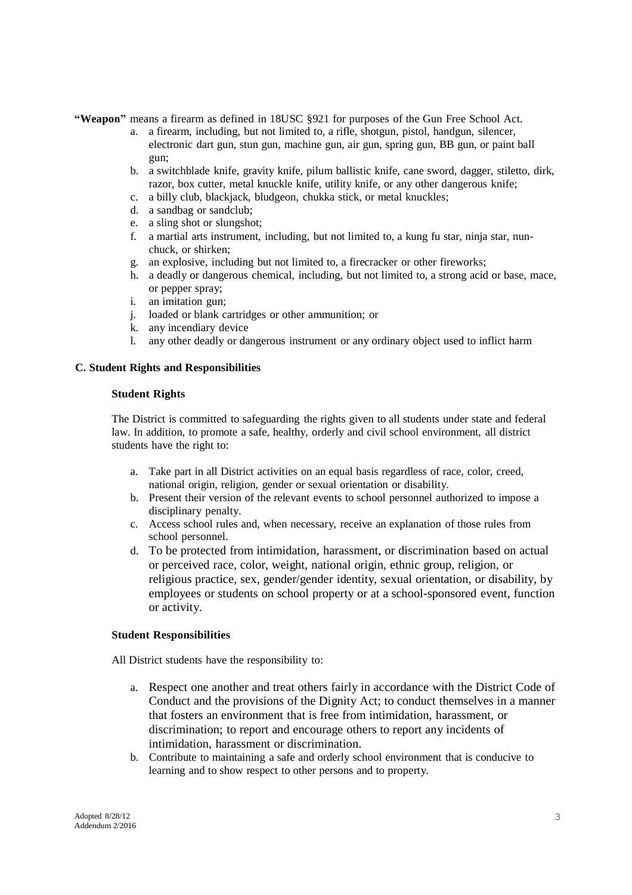**"Weapon"** means a firearm as defined in 18USC §921 for purposes of the Gun Free School Act.

- a. a firearm, including, but not limited to, a rifle, shotgun, pistol, handgun, silencer, electronic dart gun, stun gun, machine gun, air gun, spring gun, BB gun, or paint ball gun;
- b. a switchblade knife, gravity knife, pilum ballistic knife, cane sword, dagger, stiletto, dirk, razor, box cutter, metal knuckle knife, utility knife, or any other dangerous knife;
- c. a billy club, blackjack, bludgeon, chukka stick, or metal knuckles;
- d. a sandbag or sandclub;
- e. a sling shot or slungshot;
- f. a martial arts instrument, including, but not limited to, a kung fu star, ninja star, nunchuck, or shirken;
- g. an explosive, including but not limited to, a firecracker or other fireworks;
- h. a deadly or dangerous chemical, including, but not limited to, a strong acid or base, mace, or pepper spray;
- i. an imitation gun;
- j. loaded or blank cartridges or other ammunition; or
- k. any incendiary device
- l. any other deadly or dangerous instrument or any ordinary object used to inflict harm

## **C. Student Rights and Responsibilities**

#### **Student Rights**

The District is committed to safeguarding the rights given to all students under state and federal law. In addition, to promote a safe, healthy, orderly and civil school environment, all district students have the right to:

- a. Take part in all District activities on an equal basis regardless of race, color, creed, national origin, religion, gender or sexual orientation or disability.
- b. Present their version of the relevant events to school personnel authorized to impose a disciplinary penalty.
- c. Access school rules and, when necessary, receive an explanation of those rules from school personnel.
- d. To be protected from intimidation, harassment, or discrimination based on actual or perceived race, color, weight, national origin, ethnic group, religion, or religious practice, sex, gender/gender identity, sexual orientation, or disability, by employees or students on school property or at a school-sponsored event, function or activity.

### **Student Responsibilities**

All District students have the responsibility to:

- a. Respect one another and treat others fairly in accordance with the District Code of Conduct and the provisions of the Dignity Act; to conduct themselves in a manner that fosters an environment that is free from intimidation, harassment, or discrimination; to report and encourage others to report any incidents of intimidation, harassment or discrimination.
- b. Contribute to maintaining a safe and orderly school environment that is conducive to learning and to show respect to other persons and to property.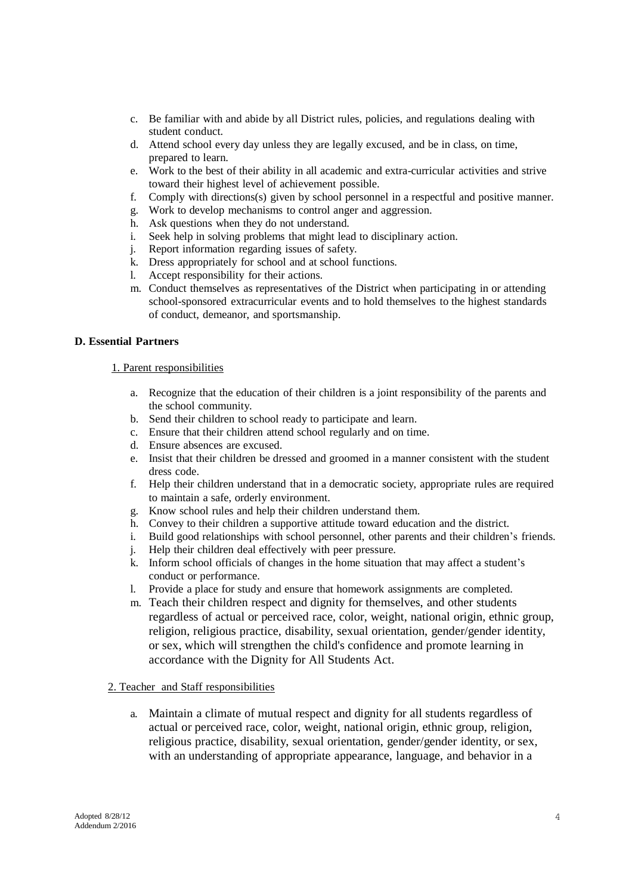- c. Be familiar with and abide by all District rules, policies, and regulations dealing with student conduct.
- d. Attend school every day unless they are legally excused, and be in class, on time, prepared to learn.
- e. Work to the best of their ability in all academic and extra-curricular activities and strive toward their highest level of achievement possible.
- f. Comply with directions(s) given by school personnel in a respectful and positive manner.
- g. Work to develop mechanisms to control anger and aggression.
- h. Ask questions when they do not understand.
- i. Seek help in solving problems that might lead to disciplinary action.
- j. Report information regarding issues of safety.
- k. Dress appropriately for school and at school functions.
- l. Accept responsibility for their actions.
- m. Conduct themselves as representatives of the District when participating in or attending school-sponsored extracurricular events and to hold themselves to the highest standards of conduct, demeanor, and sportsmanship.

## **D. Essential Partners**

# 1. Parent responsibilities

- a. Recognize that the education of their children is a joint responsibility of the parents and the school community.
- b. Send their children to school ready to participate and learn.
- c. Ensure that their children attend school regularly and on time.
- d. Ensure absences are excused.
- e. Insist that their children be dressed and groomed in a manner consistent with the student dress code.
- f. Help their children understand that in a democratic society, appropriate rules are required to maintain a safe, orderly environment.
- g. Know school rules and help their children understand them.
- h. Convey to their children a supportive attitude toward education and the district.
- i. Build good relationships with school personnel, other parents and their children's friends.
- j. Help their children deal effectively with peer pressure.
- k. Inform school officials of changes in the home situation that may affect a student's conduct or performance.
- l. Provide a place for study and ensure that homework assignments are completed.
- m. Teach their children respect and dignity for themselves, and other students regardless of actual or perceived race, color, weight, national origin, ethnic group, religion, religious practice, disability, sexual orientation, gender/gender identity, or sex, which will strengthen the child's confidence and promote learning in accordance with the Dignity for All Students Act.

## 2. Teacher and Staff responsibilities

a. Maintain a climate of mutual respect and dignity for all students regardless of actual or perceived race, color, weight, national origin, ethnic group, religion, religious practice, disability, sexual orientation, gender/gender identity, or sex, with an understanding of appropriate appearance, language, and behavior in a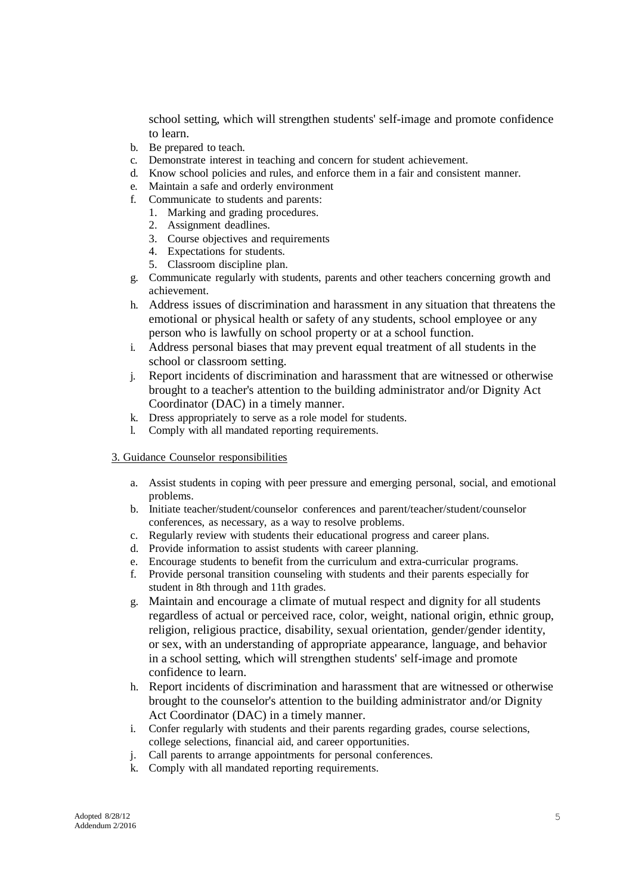school setting, which will strengthen students' self-image and promote confidence to learn.

- b. Be prepared to teach.
- c. Demonstrate interest in teaching and concern for student achievement.
- d. Know school policies and rules, and enforce them in a fair and consistent manner.
- e. Maintain a safe and orderly environment
- f. Communicate to students and parents:
	- 1. Marking and grading procedures.
	- 2. Assignment deadlines.
	- 3. Course objectives and requirements
	- 4. Expectations for students.
	- 5. Classroom discipline plan.
- g. Communicate regularly with students, parents and other teachers concerning growth and achievement.
- h. Address issues of discrimination and harassment in any situation that threatens the emotional or physical health or safety of any students, school employee or any person who is lawfully on school property or at a school function.
- i. Address personal biases that may prevent equal treatment of all students in the school or classroom setting.
- j. Report incidents of discrimination and harassment that are witnessed or otherwise brought to a teacher's attention to the building administrator and/or Dignity Act Coordinator (DAC) in a timely manner.
- k. Dress appropriately to serve as a role model for students.
- l. Comply with all mandated reporting requirements.

### 3. Guidance Counselor responsibilities

- a. Assist students in coping with peer pressure and emerging personal, social, and emotional problems.
- b. Initiate teacher/student/counselor conferences and parent/teacher/student/counselor conferences, as necessary, as a way to resolve problems.
- c. Regularly review with students their educational progress and career plans.
- d. Provide information to assist students with career planning.
- e. Encourage students to benefit from the curriculum and extra-curricular programs.
- f. Provide personal transition counseling with students and their parents especially for student in 8th through and 11th grades.
- g. Maintain and encourage a climate of mutual respect and dignity for all students regardless of actual or perceived race, color, weight, national origin, ethnic group, religion, religious practice, disability, sexual orientation, gender/gender identity, or sex, with an understanding of appropriate appearance, language, and behavior in a school setting, which will strengthen students' self-image and promote confidence to learn.
- h. Report incidents of discrimination and harassment that are witnessed or otherwise brought to the counselor's attention to the building administrator and/or Dignity Act Coordinator (DAC) in a timely manner.
- i. Confer regularly with students and their parents regarding grades, course selections, college selections, financial aid, and career opportunities.
- j. Call parents to arrange appointments for personal conferences.
- k. Comply with all mandated reporting requirements.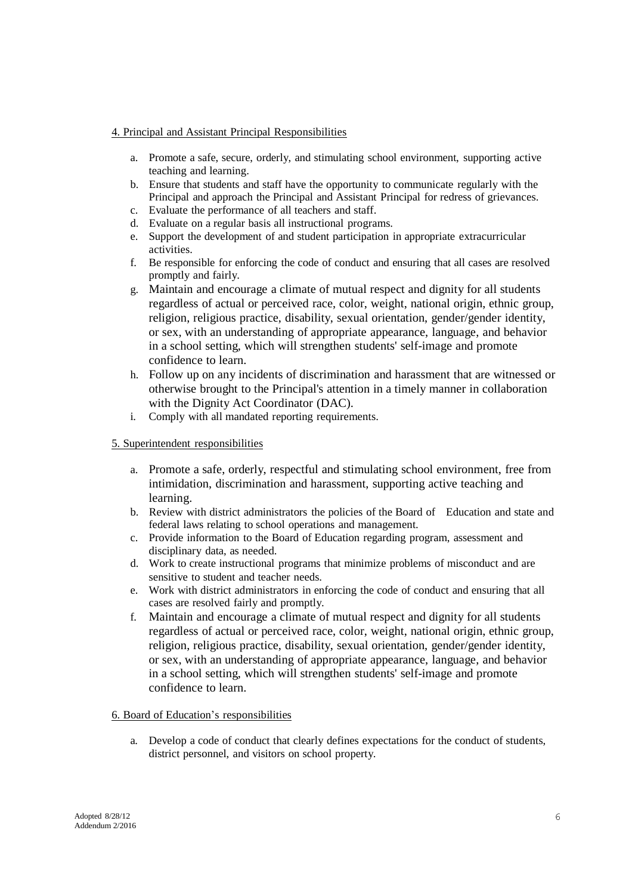## 4. Principal and Assistant Principal Responsibilities

- a. Promote a safe, secure, orderly, and stimulating school environment, supporting active teaching and learning.
- b. Ensure that students and staff have the opportunity to communicate regularly with the Principal and approach the Principal and Assistant Principal for redress of grievances.
- c. Evaluate the performance of all teachers and staff.
- d. Evaluate on a regular basis all instructional programs.
- e. Support the development of and student participation in appropriate extracurricular activities.
- f. Be responsible for enforcing the code of conduct and ensuring that all cases are resolved promptly and fairly.
- g. Maintain and encourage a climate of mutual respect and dignity for all students regardless of actual or perceived race, color, weight, national origin, ethnic group, religion, religious practice, disability, sexual orientation, gender/gender identity, or sex, with an understanding of appropriate appearance, language, and behavior in a school setting, which will strengthen students' self-image and promote confidence to learn.
- h. Follow up on any incidents of discrimination and harassment that are witnessed or otherwise brought to the Principal's attention in a timely manner in collaboration with the Dignity Act Coordinator (DAC).
- i. Comply with all mandated reporting requirements.

## 5. Superintendent responsibilities

- a. Promote a safe, orderly, respectful and stimulating school environment, free from intimidation, discrimination and harassment, supporting active teaching and learning.
- b. Review with district administrators the policies of the Board of Education and state and federal laws relating to school operations and management.
- c. Provide information to the Board of Education regarding program, assessment and disciplinary data, as needed.
- d. Work to create instructional programs that minimize problems of misconduct and are sensitive to student and teacher needs.
- e. Work with district administrators in enforcing the code of conduct and ensuring that all cases are resolved fairly and promptly.
- f. Maintain and encourage a climate of mutual respect and dignity for all students regardless of actual or perceived race, color, weight, national origin, ethnic group, religion, religious practice, disability, sexual orientation, gender/gender identity, or sex, with an understanding of appropriate appearance, language, and behavior in a school setting, which will strengthen students' self-image and promote confidence to learn.

## 6. Board of Education's responsibilities

a. Develop a code of conduct that clearly defines expectations for the conduct of students, district personnel, and visitors on school property.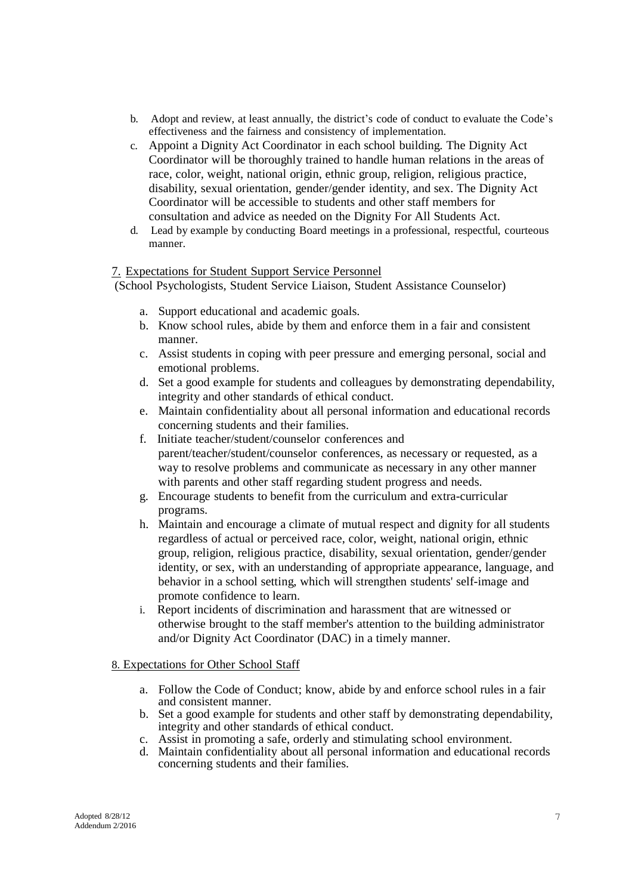- b. Adopt and review, at least annually, the district's code of conduct to evaluate the Code's effectiveness and the fairness and consistency of implementation.
- c. Appoint a Dignity Act Coordinator in each school building. The Dignity Act Coordinator will be thoroughly trained to handle human relations in the areas of race, color, weight, national origin, ethnic group, religion, religious practice, disability, sexual orientation, gender/gender identity, and sex. The Dignity Act Coordinator will be accessible to students and other staff members for consultation and advice as needed on the Dignity For All Students Act.
- d. Lead by example by conducting Board meetings in a professional, respectful, courteous manner.

# 7. Expectations for Student Support Service Personnel

(School Psychologists, Student Service Liaison, Student Assistance Counselor)

- a. Support educational and academic goals.
- b. Know school rules, abide by them and enforce them in a fair and consistent manner.
- c. Assist students in coping with peer pressure and emerging personal, social and emotional problems.
- d. Set a good example for students and colleagues by demonstrating dependability, integrity and other standards of ethical conduct.
- e. Maintain confidentiality about all personal information and educational records concerning students and their families.
- f. Initiate teacher/student/counselor conferences and parent/teacher/student/counselor conferences, as necessary or requested, as a way to resolve problems and communicate as necessary in any other manner with parents and other staff regarding student progress and needs.
- g. Encourage students to benefit from the curriculum and extra-curricular programs.
- h. Maintain and encourage a climate of mutual respect and dignity for all students regardless of actual or perceived race, color, weight, national origin, ethnic group, religion, religious practice, disability, sexual orientation, gender/gender identity, or sex, with an understanding of appropriate appearance, language, and behavior in a school setting, which will strengthen students' self-image and promote confidence to learn.
- i. Report incidents of discrimination and harassment that are witnessed or otherwise brought to the staff member's attention to the building administrator and/or Dignity Act Coordinator (DAC) in a timely manner.

# 8. Expectations for Other School Staff

- a. Follow the Code of Conduct; know, abide by and enforce school rules in a fair and consistent manner.
- b. Set a good example for students and other staff by demonstrating dependability, integrity and other standards of ethical conduct.
- c. Assist in promoting a safe, orderly and stimulating school environment.
- d. Maintain confidentiality about all personal information and educational records concerning students and their families.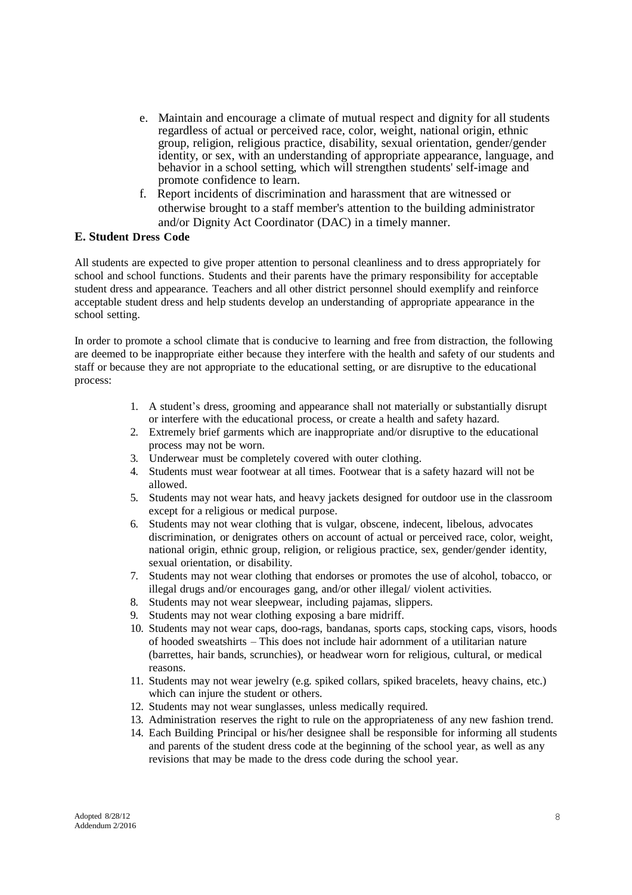- e. Maintain and encourage a climate of mutual respect and dignity for all students regardless of actual or perceived race, color, weight, national origin, ethnic group, religion, religious practice, disability, sexual orientation, gender/gender identity, or sex, with an understanding of appropriate appearance, language, and behavior in a school setting, which will strengthen students' self-image and promote confidence to learn.
- f. Report incidents of discrimination and harassment that are witnessed or otherwise brought to a staff member's attention to the building administrator and/or Dignity Act Coordinator (DAC) in a timely manner.

## **E. Student Dress Code**

All students are expected to give proper attention to personal cleanliness and to dress appropriately for school and school functions. Students and their parents have the primary responsibility for acceptable student dress and appearance. Teachers and all other district personnel should exemplify and reinforce acceptable student dress and help students develop an understanding of appropriate appearance in the school setting.

In order to promote a school climate that is conducive to learning and free from distraction, the following are deemed to be inappropriate either because they interfere with the health and safety of our students and staff or because they are not appropriate to the educational setting, or are disruptive to the educational process:

- 1. A student's dress, grooming and appearance shall not materially or substantially disrupt or interfere with the educational process, or create a health and safety hazard.
- 2. Extremely brief garments which are inappropriate and/or disruptive to the educational process may not be worn.
- 3. Underwear must be completely covered with outer clothing.
- 4. Students must wear footwear at all times. Footwear that is a safety hazard will not be allowed.
- 5. Students may not wear hats, and heavy jackets designed for outdoor use in the classroom except for a religious or medical purpose.
- 6. Students may not wear clothing that is vulgar, obscene, indecent, libelous, advocates discrimination, or denigrates others on account of actual or perceived race, color, weight, national origin, ethnic group, religion, or religious practice, sex, gender/gender identity, sexual orientation, or disability.
- 7. Students may not wear clothing that endorses or promotes the use of alcohol, tobacco, or illegal drugs and/or encourages gang, and/or other illegal/ violent activities.
- 8. Students may not wear sleepwear, including pajamas, slippers.
- 9. Students may not wear clothing exposing a bare midriff.
- 10. Students may not wear caps, doo-rags, bandanas, sports caps, stocking caps, visors, hoods of hooded sweatshirts – This does not include hair adornment of a utilitarian nature (barrettes, hair bands, scrunchies), or headwear worn for religious, cultural, or medical reasons.
- 11. Students may not wear jewelry (e.g. spiked collars, spiked bracelets, heavy chains, etc.) which can injure the student or others.
- 12. Students may not wear sunglasses, unless medically required.
- 13. Administration reserves the right to rule on the appropriateness of any new fashion trend.
- 14. Each Building Principal or his/her designee shall be responsible for informing all students and parents of the student dress code at the beginning of the school year, as well as any revisions that may be made to the dress code during the school year.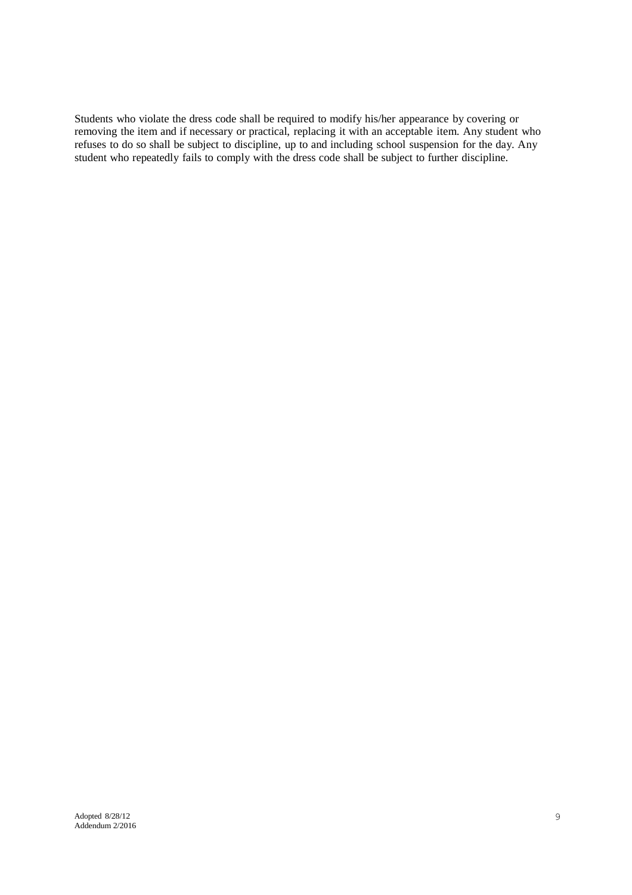Students who violate the dress code shall be required to modify his/her appearance by covering or removing the item and if necessary or practical, replacing it with an acceptable item. Any student who refuses to do so shall be subject to discipline, up to and including school suspension for the day. Any student who repeatedly fails to comply with the dress code shall be subject to further discipline.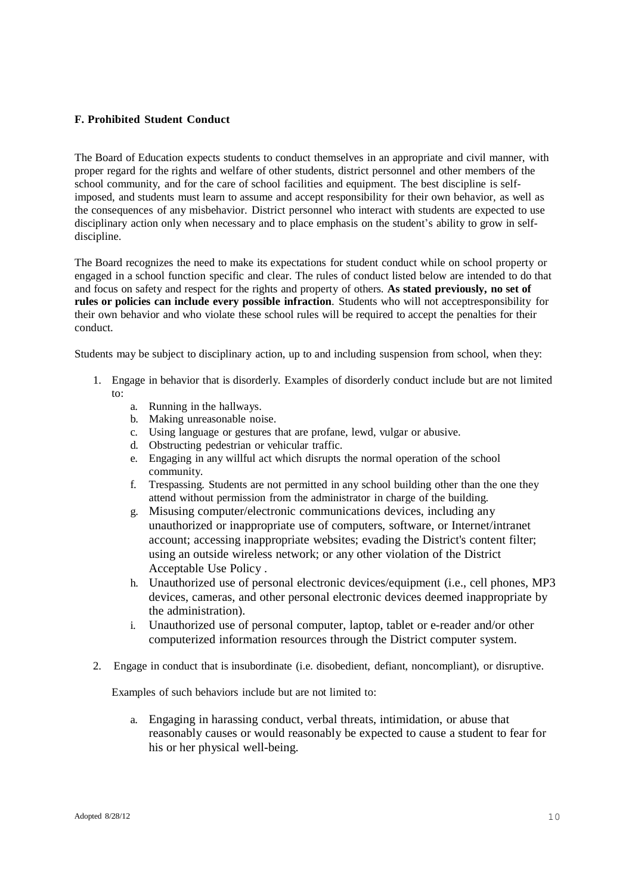## **F. Prohibited Student Conduct**

The Board of Education expects students to conduct themselves in an appropriate and civil manner, with proper regard for the rights and welfare of other students, district personnel and other members of the school community, and for the care of school facilities and equipment. The best discipline is selfimposed, and students must learn to assume and accept responsibility for their own behavior, as well as the consequences of any misbehavior. District personnel who interact with students are expected to use disciplinary action only when necessary and to place emphasis on the student's ability to grow in selfdiscipline.

The Board recognizes the need to make its expectations for student conduct while on school property or engaged in a school function specific and clear. The rules of conduct listed below are intended to do that and focus on safety and respect for the rights and property of others. **As stated previously, no set of rules or policies can include every possible infraction**. Students who will not acceptresponsibility for their own behavior and who violate these school rules will be required to accept the penalties for their conduct.

Students may be subject to disciplinary action, up to and including suspension from school, when they:

- 1. Engage in behavior that is disorderly. Examples of disorderly conduct include but are not limited to:
	- a. Running in the hallways.
	- b. Making unreasonable noise.
	- c. Using language or gestures that are profane, lewd, vulgar or abusive.
	- d. Obstructing pedestrian or vehicular traffic.
	- e. Engaging in any willful act which disrupts the normal operation of the school community.
	- f. Trespassing. Students are not permitted in any school building other than the one they attend without permission from the administrator in charge of the building.
	- g. Misusing computer/electronic communications devices, including any unauthorized or inappropriate use of computers, software, or Internet/intranet account; accessing inappropriate websites; evading the District's content filter; using an outside wireless network; or any other violation of the District Acceptable Use Policy .
	- h. Unauthorized use of personal electronic devices/equipment (i.e., cell phones, MP3 devices, cameras, and other personal electronic devices deemed inappropriate by the administration).
	- i. Unauthorized use of personal computer, laptop, tablet or e-reader and/or other computerized information resources through the District computer system.
- 2. Engage in conduct that is insubordinate (i.e. disobedient, defiant, noncompliant), or disruptive.

Examples of such behaviors include but are not limited to:

a. Engaging in harassing conduct, verbal threats, intimidation, or abuse that reasonably causes or would reasonably be expected to cause a student to fear for his or her physical well-being.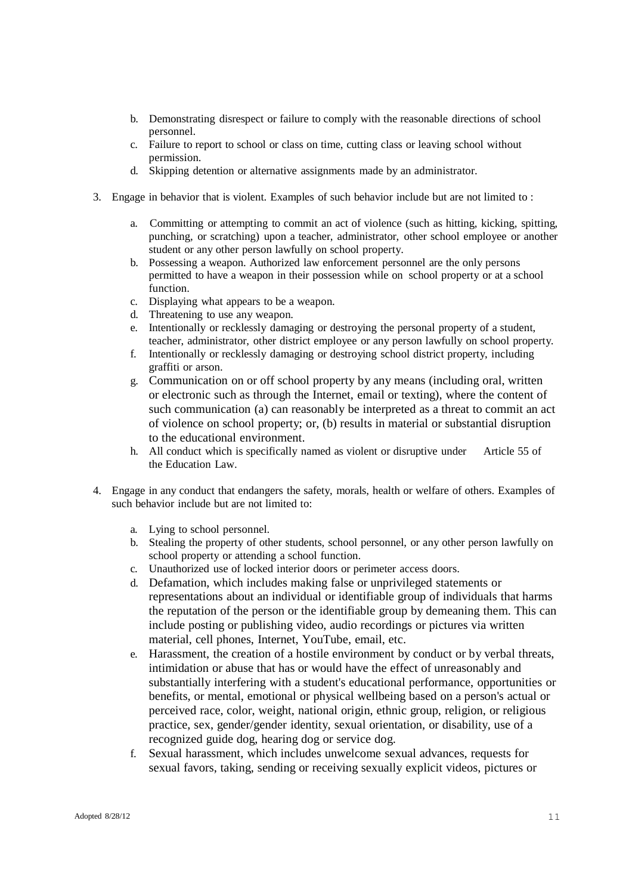- b. Demonstrating disrespect or failure to comply with the reasonable directions of school personnel.
- c. Failure to report to school or class on time, cutting class or leaving school without permission.
- d. Skipping detention or alternative assignments made by an administrator.
- 3. Engage in behavior that is violent. Examples of such behavior include but are not limited to :
	- a. Committing or attempting to commit an act of violence (such as hitting, kicking, spitting, punching, or scratching) upon a teacher, administrator, other school employee or another student or any other person lawfully on school property.
	- b. Possessing a weapon. Authorized law enforcement personnel are the only persons permitted to have a weapon in their possession while on school property or at a school function.
	- c. Displaying what appears to be a weapon.
	- d. Threatening to use any weapon.
	- e. Intentionally or recklessly damaging or destroying the personal property of a student, teacher, administrator, other district employee or any person lawfully on school property.
	- f. Intentionally or recklessly damaging or destroying school district property, including graffiti or arson.
	- g. Communication on or off school property by any means (including oral, written or electronic such as through the Internet, email or texting), where the content of such communication (a) can reasonably be interpreted as a threat to commit an act of violence on school property; or, (b) results in material or substantial disruption to the educational environment.
	- h. All conduct which is specifically named as violent or disruptive under Article 55 of the Education Law.
- 4. Engage in any conduct that endangers the safety, morals, health or welfare of others. Examples of such behavior include but are not limited to:
	- a. Lying to school personnel.
	- b. Stealing the property of other students, school personnel, or any other person lawfully on school property or attending a school function.
	- c. Unauthorized use of locked interior doors or perimeter access doors.
	- d. Defamation, which includes making false or unprivileged statements or representations about an individual or identifiable group of individuals that harms the reputation of the person or the identifiable group by demeaning them. This can include posting or publishing video, audio recordings or pictures via written material, cell phones, Internet, YouTube, email, etc.
	- e. Harassment, the creation of a hostile environment by conduct or by verbal threats, intimidation or abuse that has or would have the effect of unreasonably and substantially interfering with a student's educational performance, opportunities or benefits, or mental, emotional or physical wellbeing based on a person's actual or perceived race, color, weight, national origin, ethnic group, religion, or religious practice, sex, gender/gender identity, sexual orientation, or disability, use of a recognized guide dog, hearing dog or service dog.
	- f. Sexual harassment, which includes unwelcome sexual advances, requests for sexual favors, taking, sending or receiving sexually explicit videos, pictures or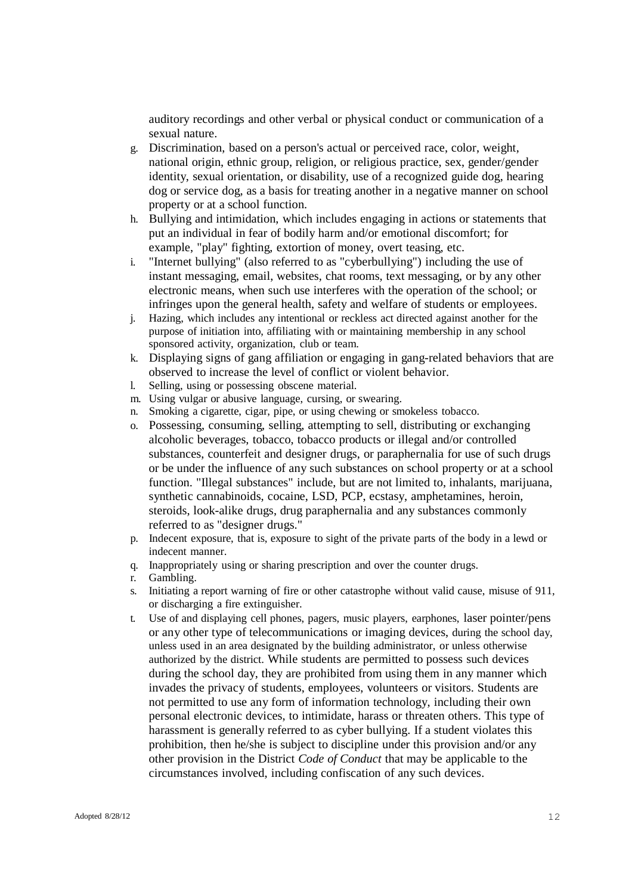auditory recordings and other verbal or physical conduct or communication of a sexual nature.

- g. Discrimination, based on a person's actual or perceived race, color, weight, national origin, ethnic group, religion, or religious practice, sex, gender/gender identity, sexual orientation, or disability, use of a recognized guide dog, hearing dog or service dog, as a basis for treating another in a negative manner on school property or at a school function.
- h. Bullying and intimidation, which includes engaging in actions or statements that put an individual in fear of bodily harm and/or emotional discomfort; for example, "play" fighting, extortion of money, overt teasing, etc.
- i. "Internet bullying" (also referred to as "cyberbullying") including the use of instant messaging, email, websites, chat rooms, text messaging, or by any other electronic means, when such use interferes with the operation of the school; or infringes upon the general health, safety and welfare of students or employees.
- j. Hazing, which includes any intentional or reckless act directed against another for the purpose of initiation into, affiliating with or maintaining membership in any school sponsored activity, organization, club or team.
- k. Displaying signs of gang affiliation or engaging in gang-related behaviors that are observed to increase the level of conflict or violent behavior.
- l. Selling, using or possessing obscene material.
- m. Using vulgar or abusive language, cursing, or swearing.
- n. Smoking a cigarette, cigar, pipe, or using chewing or smokeless tobacco.
- o. Possessing, consuming, selling, attempting to sell, distributing or exchanging alcoholic beverages, tobacco, tobacco products or illegal and/or controlled substances, counterfeit and designer drugs, or paraphernalia for use of such drugs or be under the influence of any such substances on school property or at a school function. "Illegal substances" include, but are not limited to, inhalants, marijuana, synthetic cannabinoids, cocaine, LSD, PCP, ecstasy, amphetamines, heroin, steroids, look-alike drugs, drug paraphernalia and any substances commonly referred to as "designer drugs."
- p. Indecent exposure, that is, exposure to sight of the private parts of the body in a lewd or indecent manner.
- q. Inappropriately using or sharing prescription and over the counter drugs.
- r. Gambling.
- s. Initiating a report warning of fire or other catastrophe without valid cause, misuse of 911, or discharging a fire extinguisher.
- t. Use of and displaying cell phones, pagers, music players, earphones, laser pointer/pens or any other type of telecommunications or imaging devices, during the school day, unless used in an area designated by the building administrator, or unless otherwise authorized by the district. While students are permitted to possess such devices during the school day, they are prohibited from using them in any manner which invades the privacy of students, employees, volunteers or visitors. Students are not permitted to use any form of information technology, including their own personal electronic devices, to intimidate, harass or threaten others. This type of harassment is generally referred to as cyber bullying. If a student violates this prohibition, then he/she is subject to discipline under this provision and/or any other provision in the District *Code of Conduct* that may be applicable to the circumstances involved, including confiscation of any such devices.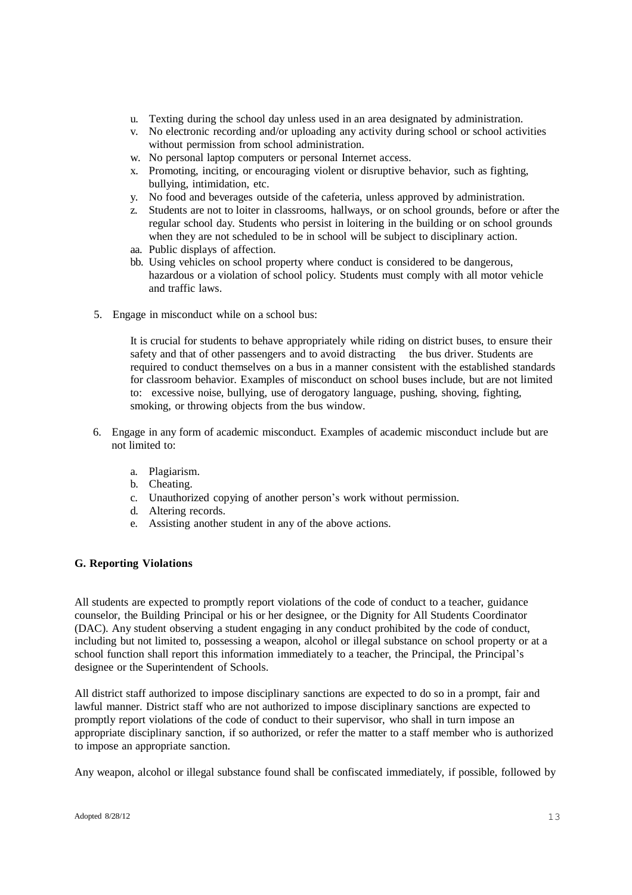- u. Texting during the school day unless used in an area designated by administration.
- v. No electronic recording and/or uploading any activity during school or school activities without permission from school administration.
- w. No personal laptop computers or personal Internet access.
- x. Promoting, inciting, or encouraging violent or disruptive behavior, such as fighting, bullying, intimidation, etc.
- y. No food and beverages outside of the cafeteria, unless approved by administration.
- z. Students are not to loiter in classrooms, hallways, or on school grounds, before or after the regular school day. Students who persist in loitering in the building or on school grounds when they are not scheduled to be in school will be subject to disciplinary action.
- aa. Public displays of affection.
- bb. Using vehicles on school property where conduct is considered to be dangerous, hazardous or a violation of school policy. Students must comply with all motor vehicle and traffic laws.
- 5. Engage in misconduct while on a school bus:

It is crucial for students to behave appropriately while riding on district buses, to ensure their safety and that of other passengers and to avoid distracting the bus driver. Students are required to conduct themselves on a bus in a manner consistent with the established standards for classroom behavior. Examples of misconduct on school buses include, but are not limited to: excessive noise, bullying, use of derogatory language, pushing, shoving, fighting, smoking, or throwing objects from the bus window.

- 6. Engage in any form of academic misconduct. Examples of academic misconduct include but are not limited to:
	- a. Plagiarism.
	- b. Cheating.
	- c. Unauthorized copying of another person's work without permission.
	- d. Altering records.
	- e. Assisting another student in any of the above actions.

### **G. Reporting Violations**

All students are expected to promptly report violations of the code of conduct to a teacher, guidance counselor, the Building Principal or his or her designee, or the Dignity for All Students Coordinator (DAC). Any student observing a student engaging in any conduct prohibited by the code of conduct, including but not limited to, possessing a weapon, alcohol or illegal substance on school property or at a school function shall report this information immediately to a teacher, the Principal, the Principal's designee or the Superintendent of Schools.

All district staff authorized to impose disciplinary sanctions are expected to do so in a prompt, fair and lawful manner. District staff who are not authorized to impose disciplinary sanctions are expected to promptly report violations of the code of conduct to their supervisor, who shall in turn impose an appropriate disciplinary sanction, if so authorized, or refer the matter to a staff member who is authorized to impose an appropriate sanction.

Any weapon, alcohol or illegal substance found shall be confiscated immediately, if possible, followed by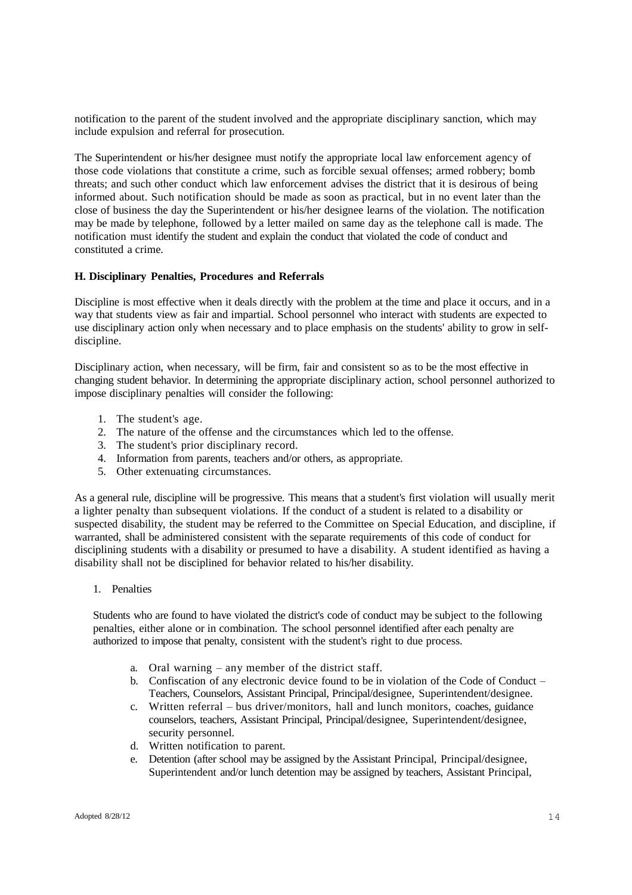notification to the parent of the student involved and the appropriate disciplinary sanction, which may include expulsion and referral for prosecution.

The Superintendent or his/her designee must notify the appropriate local law enforcement agency of those code violations that constitute a crime, such as forcible sexual offenses; armed robbery; bomb threats; and such other conduct which law enforcement advises the district that it is desirous of being informed about. Such notification should be made as soon as practical, but in no event later than the close of business the day the Superintendent or his/her designee learns of the violation. The notification may be made by telephone, followed by a letter mailed on same day as the telephone call is made. The notification must identify the student and explain the conduct that violated the code of conduct and constituted a crime.

### **H. Disciplinary Penalties, Procedures and Referrals**

Discipline is most effective when it deals directly with the problem at the time and place it occurs, and in a way that students view as fair and impartial. School personnel who interact with students are expected to use disciplinary action only when necessary and to place emphasis on the students' ability to grow in selfdiscipline.

Disciplinary action, when necessary, will be firm, fair and consistent so as to be the most effective in changing student behavior. In determining the appropriate disciplinary action, school personnel authorized to impose disciplinary penalties will consider the following:

- 1. The student's age.
- 2. The nature of the offense and the circumstances which led to the offense.
- 3. The student's prior disciplinary record.
- 4. Information from parents, teachers and/or others, as appropriate.
- 5. Other extenuating circumstances.

As a general rule, discipline will be progressive. This means that a student's first violation will usually merit a lighter penalty than subsequent violations. If the conduct of a student is related to a disability or suspected disability, the student may be referred to the Committee on Special Education, and discipline, if warranted, shall be administered consistent with the separate requirements of this code of conduct for disciplining students with a disability or presumed to have a disability. A student identified as having a disability shall not be disciplined for behavior related to his/her disability.

1. Penalties

Students who are found to have violated the district's code of conduct may be subject to the following penalties, either alone or in combination. The school personnel identified after each penalty are authorized to impose that penalty, consistent with the student's right to due process.

- a. Oral warning any member of the district staff.
- b. Confiscation of any electronic device found to be in violation of the Code of Conduct Teachers, Counselors, Assistant Principal, Principal/designee, Superintendent/designee.
- c. Written referral bus driver/monitors, hall and lunch monitors, coaches, guidance counselors, teachers, Assistant Principal, Principal/designee, Superintendent/designee, security personnel.
- d. Written notification to parent.
- e. Detention (after school may be assigned by the Assistant Principal, Principal/designee, Superintendent and/or lunch detention may be assigned by teachers, Assistant Principal,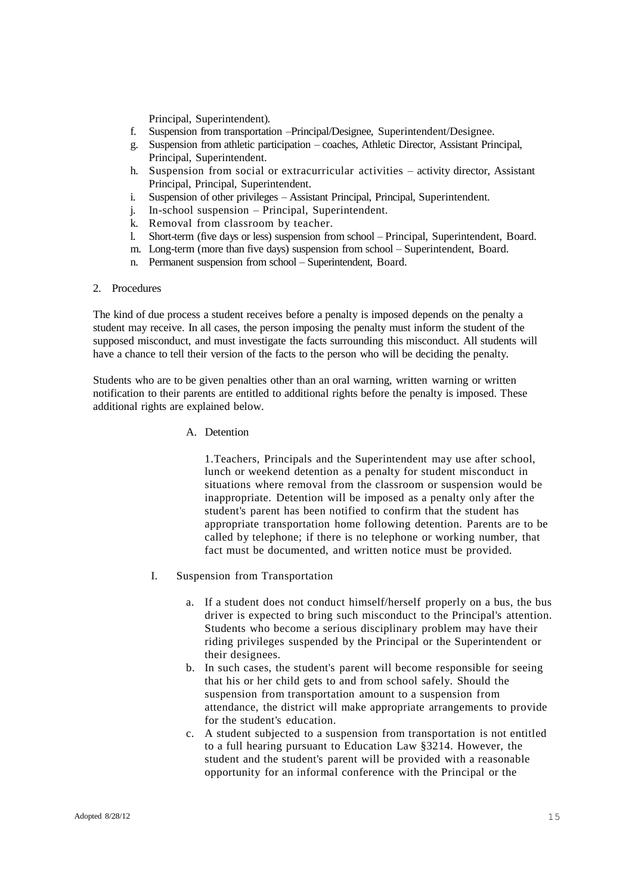Principal, Superintendent).

- f. Suspension from transportation –Principal/Designee, Superintendent/Designee.
- g. Suspension from athletic participation coaches, Athletic Director, Assistant Principal, Principal, Superintendent.
- h. Suspension from social or extracurricular activities activity director, Assistant Principal, Principal, Superintendent.
- i. Suspension of other privileges Assistant Principal, Principal, Superintendent.
- j. In-school suspension Principal, Superintendent.
- k. Removal from classroom by teacher.
- l. Short-term (five days or less) suspension from school Principal, Superintendent, Board.
- m. Long-term (more than five days) suspension from school Superintendent, Board.
- n. Permanent suspension from school Superintendent, Board.

#### 2. Procedures

The kind of due process a student receives before a penalty is imposed depends on the penalty a student may receive. In all cases, the person imposing the penalty must inform the student of the supposed misconduct, and must investigate the facts surrounding this misconduct. All students will have a chance to tell their version of the facts to the person who will be deciding the penalty.

Students who are to be given penalties other than an oral warning, written warning or written notification to their parents are entitled to additional rights before the penalty is imposed. These additional rights are explained below.

A. Detention

1.Teachers, Principals and the Superintendent may use after school, lunch or weekend detention as a penalty for student misconduct in situations where removal from the classroom or suspension would be inappropriate. Detention will be imposed as a penalty only after the student's parent has been notified to confirm that the student has appropriate transportation home following detention. Parents are to be called by telephone; if there is no telephone or working number, that fact must be documented, and written notice must be provided.

- I. Suspension from Transportation
	- a. If a student does not conduct himself/herself properly on a bus, the bus driver is expected to bring such misconduct to the Principal's attention. Students who become a serious disciplinary problem may have their riding privileges suspended by the Principal or the Superintendent or their designees.
	- b. In such cases, the student's parent will become responsible for seeing that his or her child gets to and from school safely. Should the suspension from transportation amount to a suspension from attendance, the district will make appropriate arrangements to provide for the student's education.
	- c. A student subjected to a suspension from transportation is not entitled to a full hearing pursuant to Education Law §3214. However, the student and the student's parent will be provided with a reasonable opportunity for an informal conference with the Principal or the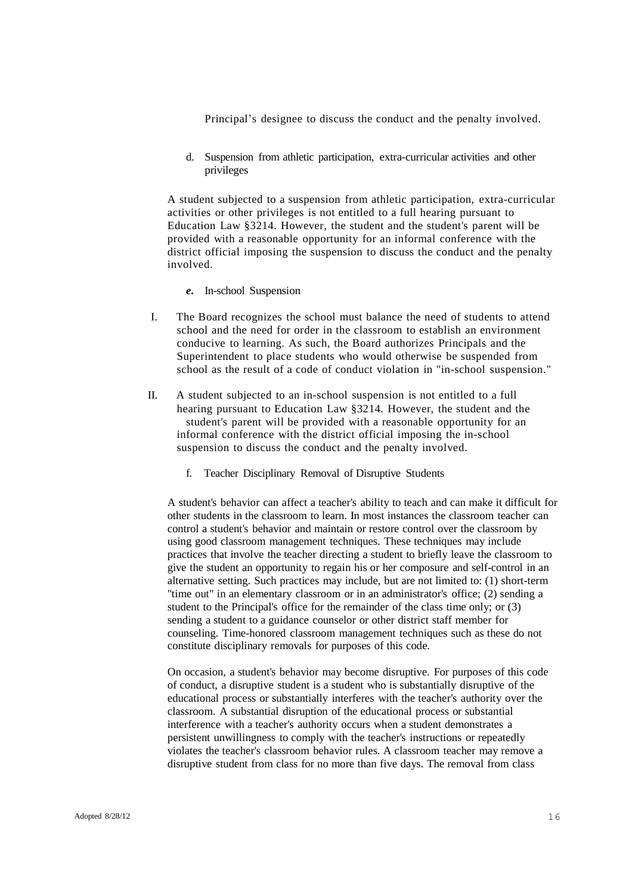Principal's designee to discuss the conduct and the penalty involved.

d. Suspension from athletic participation, extra-curricular activities and other privileges

A student subjected to a suspension from athletic participation, extra-curricular activities or other privileges is not entitled to a full hearing pursuant to Education Law §3214. However, the student and the student's parent will be provided with a reasonable opportunity for an informal conference with the district official imposing the suspension to discuss the conduct and the penalty involved.

- *e.* In-school Suspension
- I. The Board recognizes the school must balance the need of students to attend school and the need for order in the classroom to establish an environment conducive to learning. As such, the Board authorizes Principals and the Superintendent to place students who would otherwise be suspended from school as the result of a code of conduct violation in "in-school suspension."
- II. A student subjected to an in-school suspension is not entitled to a full hearing pursuant to Education Law §3214. However, the student and the student's parent will be provided with a reasonable opportunity for an informal conference with the district official imposing the in-school suspension to discuss the conduct and the penalty involved.
	- f. Teacher Disciplinary Removal of Disruptive Students

A student's behavior can affect a teacher's ability to teach and can make it difficult for other students in the classroom to learn. In most instances the classroom teacher can control a student's behavior and maintain or restore control over the classroom by using good classroom management techniques. These techniques may include practices that involve the teacher directing a student to briefly leave the classroom to give the student an opportunity to regain his or her composure and self-control in an alternative setting. Such practices may include, but are not limited to: (1) short-term "time out" in an elementary classroom or in an administrator's office; (2) sending a student to the Principal's office for the remainder of the class time only; or (3) sending a student to a guidance counselor or other district staff member for counseling. Time-honored classroom management techniques such as these do not constitute disciplinary removals for purposes of this code.

On occasion, a student's behavior may become disruptive. For purposes of this code of conduct, a disruptive student is a student who is substantially disruptive of the educational process or substantially interferes with the teacher's authority over the classroom. A substantial disruption of the educational process or substantial interference with a teacher's authority occurs when a student demonstrates a persistent unwillingness to comply with the teacher's instructions or repeatedly violates the teacher's classroom behavior rules. A classroom teacher may remove a disruptive student from class for no more than five days. The removal from class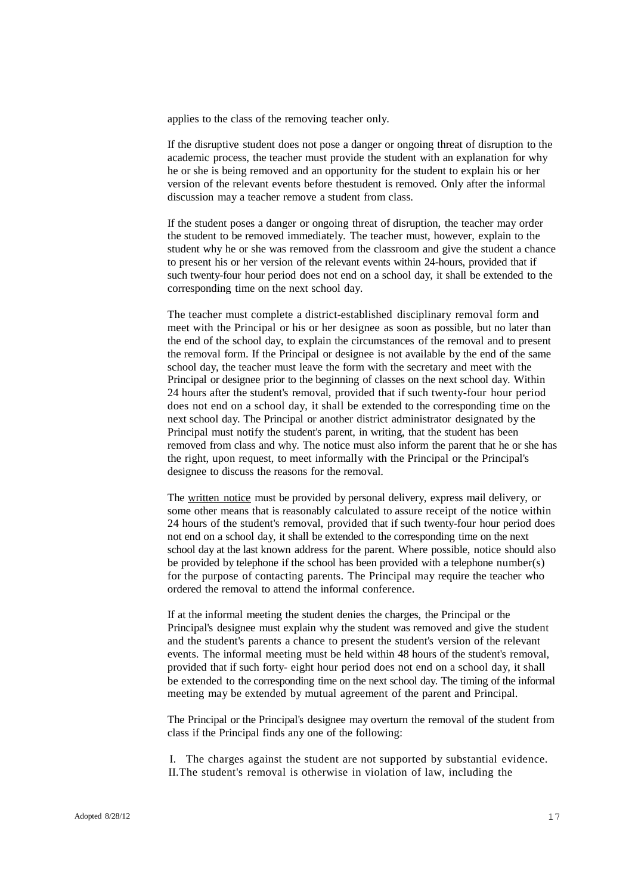applies to the class of the removing teacher only.

If the disruptive student does not pose a danger or ongoing threat of disruption to the academic process, the teacher must provide the student with an explanation for why he or she is being removed and an opportunity for the student to explain his or her version of the relevant events before thestudent is removed. Only after the informal discussion may a teacher remove a student from class.

If the student poses a danger or ongoing threat of disruption, the teacher may order the student to be removed immediately. The teacher must, however, explain to the student why he or she was removed from the classroom and give the student a chance to present his or her version of the relevant events within 24-hours, provided that if such twenty-four hour period does not end on a school day, it shall be extended to the corresponding time on the next school day.

The teacher must complete a district-established disciplinary removal form and meet with the Principal or his or her designee as soon as possible, but no later than the end of the school day, to explain the circumstances of the removal and to present the removal form. If the Principal or designee is not available by the end of the same school day, the teacher must leave the form with the secretary and meet with the Principal or designee prior to the beginning of classes on the next school day. Within 24 hours after the student's removal, provided that if such twenty-four hour period does not end on a school day, it shall be extended to the corresponding time on the next school day. The Principal or another district administrator designated by the Principal must notify the student's parent, in writing, that the student has been removed from class and why. The notice must also inform the parent that he or she has the right, upon request, to meet informally with the Principal or the Principal's designee to discuss the reasons for the removal.

The written notice must be provided by personal delivery, express mail delivery, or some other means that is reasonably calculated to assure receipt of the notice within 24 hours of the student's removal, provided that if such twenty-four hour period does not end on a school day, it shall be extended to the corresponding time on the next school day at the last known address for the parent. Where possible, notice should also be provided by telephone if the school has been provided with a telephone number(s) for the purpose of contacting parents. The Principal may require the teacher who ordered the removal to attend the informal conference.

If at the informal meeting the student denies the charges, the Principal or the Principal's designee must explain why the student was removed and give the student and the student's parents a chance to present the student's version of the relevant events. The informal meeting must be held within 48 hours of the student's removal, provided that if such forty- eight hour period does not end on a school day, it shall be extended to the corresponding time on the next school day. The timing of the informal meeting may be extended by mutual agreement of the parent and Principal.

The Principal or the Principal's designee may overturn the removal of the student from class if the Principal finds any one of the following:

I. The charges against the student are not supported by substantial evidence. II.The student's removal is otherwise in violation of law, including the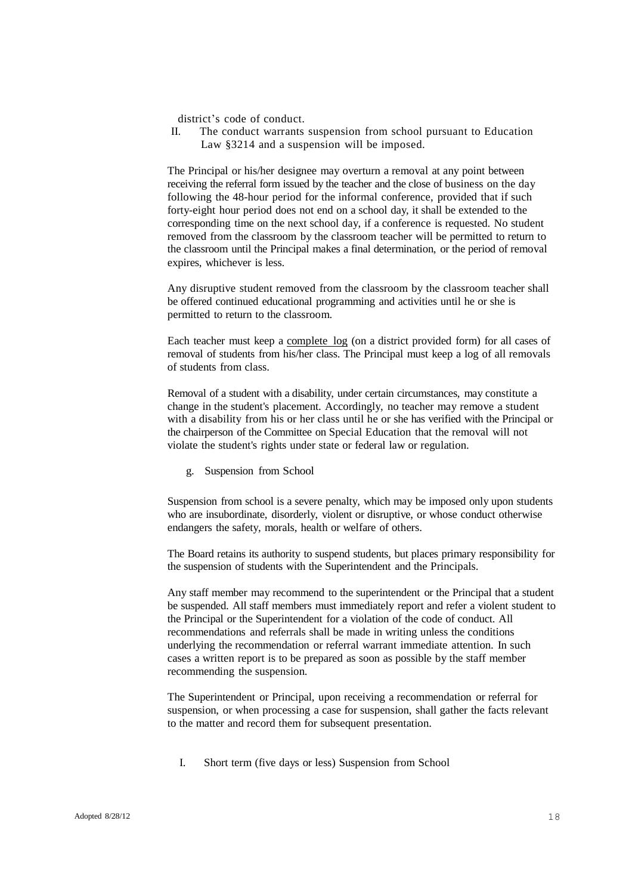district's code of conduct.

II. The conduct warrants suspension from school pursuant to Education Law §3214 and a suspension will be imposed.

The Principal or his/her designee may overturn a removal at any point between receiving the referral form issued by the teacher and the close of business on the day following the 48-hour period for the informal conference, provided that if such forty-eight hour period does not end on a school day, it shall be extended to the corresponding time on the next school day, if a conference is requested. No student removed from the classroom by the classroom teacher will be permitted to return to the classroom until the Principal makes a final determination, or the period of removal expires, whichever is less.

Any disruptive student removed from the classroom by the classroom teacher shall be offered continued educational programming and activities until he or she is permitted to return to the classroom.

Each teacher must keep a complete log (on a district provided form) for all cases of removal of students from his/her class. The Principal must keep a log of all removals of students from class.

Removal of a student with a disability, under certain circumstances, may constitute a change in the student's placement. Accordingly, no teacher may remove a student with a disability from his or her class until he or she has verified with the Principal or the chairperson of the Committee on Special Education that the removal will not violate the student's rights under state or federal law or regulation.

g. Suspension from School

Suspension from school is a severe penalty, which may be imposed only upon students who are insubordinate, disorderly, violent or disruptive, or whose conduct otherwise endangers the safety, morals, health or welfare of others.

The Board retains its authority to suspend students, but places primary responsibility for the suspension of students with the Superintendent and the Principals.

Any staff member may recommend to the superintendent or the Principal that a student be suspended. All staff members must immediately report and refer a violent student to the Principal or the Superintendent for a violation of the code of conduct. All recommendations and referrals shall be made in writing unless the conditions underlying the recommendation or referral warrant immediate attention. In such cases a written report is to be prepared as soon as possible by the staff member recommending the suspension.

The Superintendent or Principal, upon receiving a recommendation or referral for suspension, or when processing a case for suspension, shall gather the facts relevant to the matter and record them for subsequent presentation.

I. Short term (five days or less) Suspension from School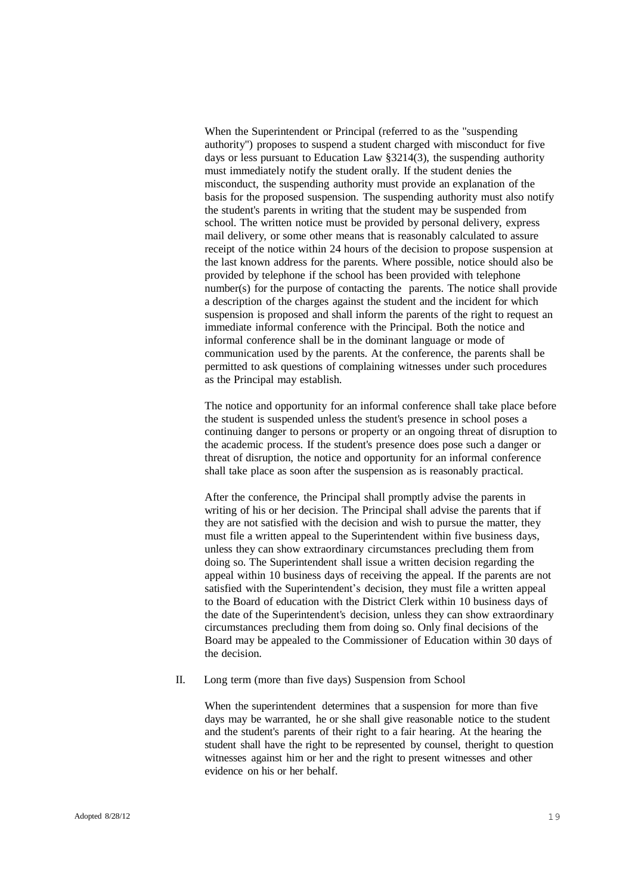When the Superintendent or Principal (referred to as the "suspending authority") proposes to suspend a student charged with misconduct for five days or less pursuant to Education Law §3214(3), the suspending authority must immediately notify the student orally. If the student denies the misconduct, the suspending authority must provide an explanation of the basis for the proposed suspension. The suspending authority must also notify the student's parents in writing that the student may be suspended from school. The written notice must be provided by personal delivery, express mail delivery, or some other means that is reasonably calculated to assure receipt of the notice within 24 hours of the decision to propose suspension at the last known address for the parents. Where possible, notice should also be provided by telephone if the school has been provided with telephone number(s) for the purpose of contacting the parents. The notice shall provide a description of the charges against the student and the incident for which suspension is proposed and shall inform the parents of the right to request an immediate informal conference with the Principal. Both the notice and informal conference shall be in the dominant language or mode of communication used by the parents. At the conference, the parents shall be permitted to ask questions of complaining witnesses under such procedures as the Principal may establish.

The notice and opportunity for an informal conference shall take place before the student is suspended unless the student's presence in school poses a continuing danger to persons or property or an ongoing threat of disruption to the academic process. If the student's presence does pose such a danger or threat of disruption, the notice and opportunity for an informal conference shall take place as soon after the suspension as is reasonably practical.

After the conference, the Principal shall promptly advise the parents in writing of his or her decision. The Principal shall advise the parents that if they are not satisfied with the decision and wish to pursue the matter, they must file a written appeal to the Superintendent within five business days, unless they can show extraordinary circumstances precluding them from doing so. The Superintendent shall issue a written decision regarding the appeal within 10 business days of receiving the appeal. If the parents are not satisfied with the Superintendent's decision, they must file a written appeal to the Board of education with the District Clerk within 10 business days of the date of the Superintendent's decision, unless they can show extraordinary circumstances precluding them from doing so. Only final decisions of the Board may be appealed to the Commissioner of Education within 30 days of the decision.

### II. Long term (more than five days) Suspension from School

When the superintendent determines that a suspension for more than five days may be warranted, he or she shall give reasonable notice to the student and the student's parents of their right to a fair hearing. At the hearing the student shall have the right to be represented by counsel, theright to question witnesses against him or her and the right to present witnesses and other evidence on his or her behalf.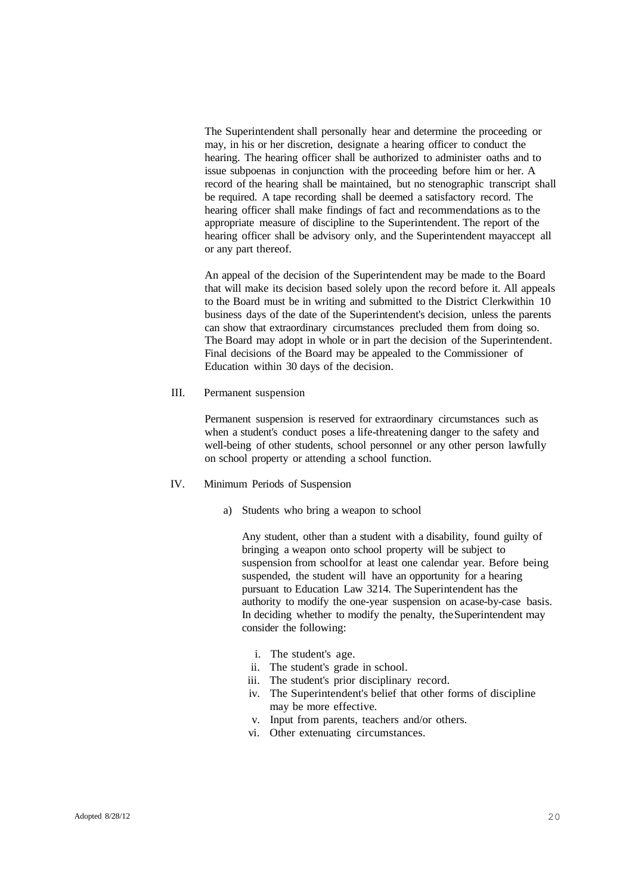The Superintendent shall personally hear and determine the proceeding or may, in his or her discretion, designate a hearing officer to conduct the hearing. The hearing officer shall be authorized to administer oaths and to issue subpoenas in conjunction with the proceeding before him or her. A record of the hearing shall be maintained, but no stenographic transcript shall be required. A tape recording shall be deemed a satisfactory record. The hearing officer shall make findings of fact and recommendations as to the appropriate measure of discipline to the Superintendent. The report of the hearing officer shall be advisory only, and the Superintendent mayaccept all or any part thereof.

An appeal of the decision of the Superintendent may be made to the Board that will make its decision based solely upon the record before it. All appeals to the Board must be in writing and submitted to the District Clerkwithin 10 business days of the date of the Superintendent's decision, unless the parents can show that extraordinary circumstances precluded them from doing so. The Board may adopt in whole or in part the decision of the Superintendent. Final decisions of the Board may be appealed to the Commissioner of Education within 30 days of the decision.

III. Permanent suspension

Permanent suspension is reserved for extraordinary circumstances such as when a student's conduct poses a life-threatening danger to the safety and well-being of other students, school personnel or any other person lawfully on school property or attending a school function.

#### IV. Minimum Periods of Suspension

a) Students who bring a weapon to school

Any student, other than a student with a disability, found guilty of bringing a weapon onto school property will be subject to suspension from schoolfor at least one calendar year. Before being suspended, the student will have an opportunity for a hearing pursuant to Education Law 3214. The Superintendent has the authority to modify the one-year suspension on acase-by-case basis. In deciding whether to modify the penalty, theSuperintendent may consider the following:

- i. The student's age.
- ii. The student's grade in school.
- iii. The student's prior disciplinary record.
- iv. The Superintendent's belief that other forms of discipline may be more effective.
- v. Input from parents, teachers and/or others.
- vi. Other extenuating circumstances.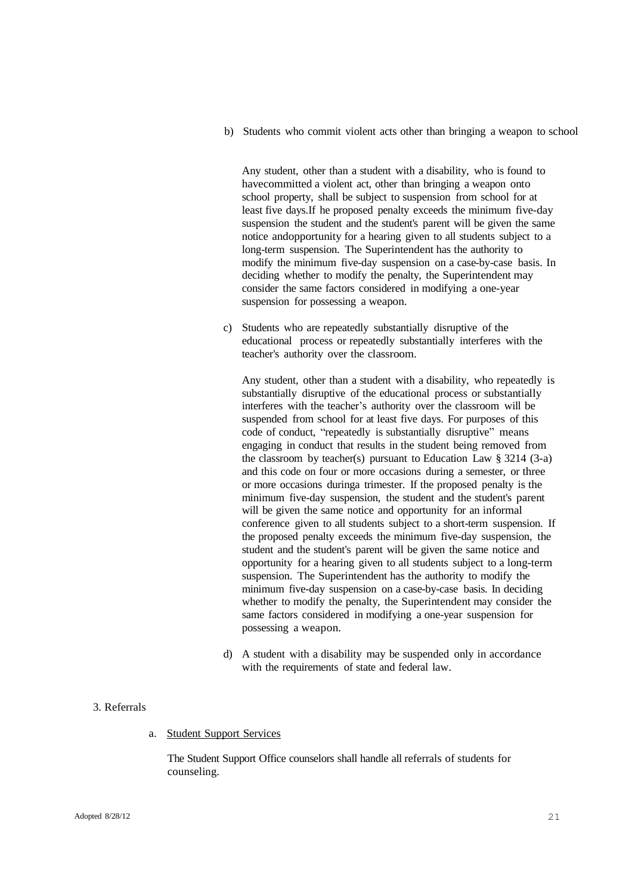b) Students who commit violent acts other than bringing a weapon to school

Any student, other than a student with a disability, who is found to havecommitted a violent act, other than bringing a weapon onto school property, shall be subject to suspension from school for at least five days.If he proposed penalty exceeds the minimum five-day suspension the student and the student's parent will be given the same notice andopportunity for a hearing given to all students subject to a long-term suspension. The Superintendent has the authority to modify the minimum five-day suspension on a case-by-case basis. In deciding whether to modify the penalty, the Superintendent may consider the same factors considered in modifying a one-year suspension for possessing a weapon.

c) Students who are repeatedly substantially disruptive of the educational process or repeatedly substantially interferes with the teacher's authority over the classroom.

Any student, other than a student with a disability, who repeatedly is substantially disruptive of the educational process or substantially interferes with the teacher's authority over the classroom will be suspended from school for at least five days. For purposes of this code of conduct, "repeatedly is substantially disruptive" means engaging in conduct that results in the student being removed from the classroom by teacher(s) pursuant to Education Law  $\S 3214$  (3-a) and this code on four or more occasions during a semester, or three or more occasions duringa trimester. If the proposed penalty is the minimum five-day suspension, the student and the student's parent will be given the same notice and opportunity for an informal conference given to all students subject to a short-term suspension. If the proposed penalty exceeds the minimum five-day suspension, the student and the student's parent will be given the same notice and opportunity for a hearing given to all students subject to a long-term suspension. The Superintendent has the authority to modify the minimum five-day suspension on a case-by-case basis. In deciding whether to modify the penalty, the Superintendent may consider the same factors considered in modifying a one-year suspension for possessing a weapon.

d) A student with a disability may be suspended only in accordance with the requirements of state and federal law.

#### 3. Referrals

a. Student Support Services

The Student Support Office counselors shall handle all referrals of students for counseling.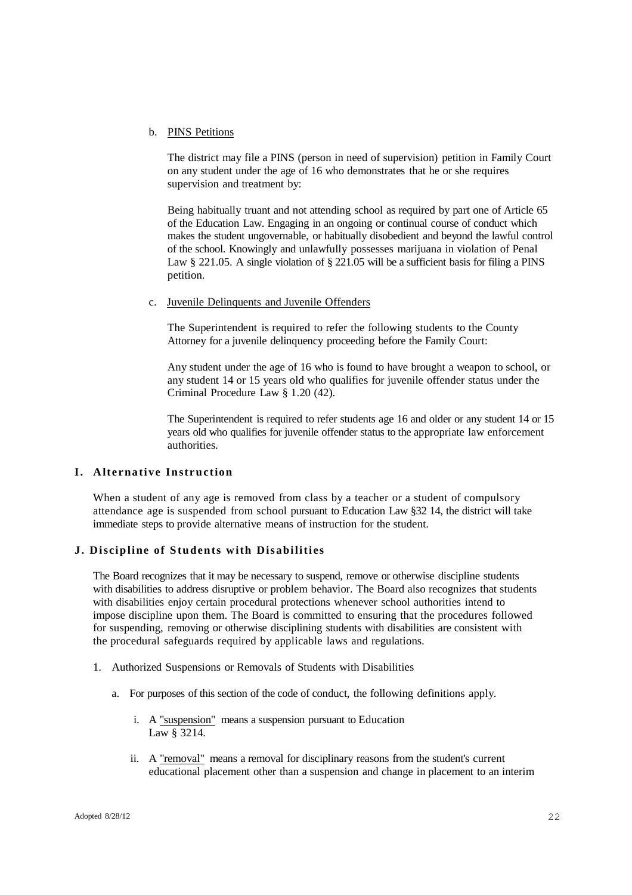#### b. PINS Petitions

The district may file a PINS (person in need of supervision) petition in Family Court on any student under the age of 16 who demonstrates that he or she requires supervision and treatment by:

Being habitually truant and not attending school as required by part one of Article 65 of the Education Law. Engaging in an ongoing or continual course of conduct which makes the student ungovernable, or habitually disobedient and beyond the lawful control of the school. Knowingly and unlawfully possesses marijuana in violation of Penal Law § 221.05. A single violation of § 221.05 will be a sufficient basis for filing a PINS petition.

c. Juvenile Delinquents and Juvenile Offenders

The Superintendent is required to refer the following students to the County Attorney for a juvenile delinquency proceeding before the Family Court:

Any student under the age of 16 who is found to have brought a weapon to school, or any student 14 or 15 years old who qualifies for juvenile offender status under the Criminal Procedure Law § 1.20 (42).

The Superintendent is required to refer students age 16 and older or any student 14 or 15 years old who qualifies for juvenile offender status to the appropriate law enforcement authorities.

## **I.** Alternative Instruction

When a student of any age is removed from class by a teacher or a student of compulsory attendance age is suspended from school pursuant to Education Law §32 14, the district will take immediate steps to provide alternative means of instruction for the student.

### **J. Discipline of Students with Disabiliti es**

The Board recognizes that it may be necessary to suspend, remove or otherwise discipline students with disabilities to address disruptive or problem behavior. The Board also recognizes that students with disabilities enjoy certain procedural protections whenever school authorities intend to impose discipline upon them. The Board is committed to ensuring that the procedures followed for suspending, removing or otherwise disciplining students with disabilities are consistent with the procedural safeguards required by applicable laws and regulations.

- 1. Authorized Suspensions or Removals of Students with Disabilities
	- a. For purposes of this section of the code of conduct, the following definitions apply.
		- i. A "suspension" means a suspension pursuant to Education Law § 3214.
		- ii. A "removal" means a removal for disciplinary reasons from the student's current educational placement other than a suspension and change in placement to an interim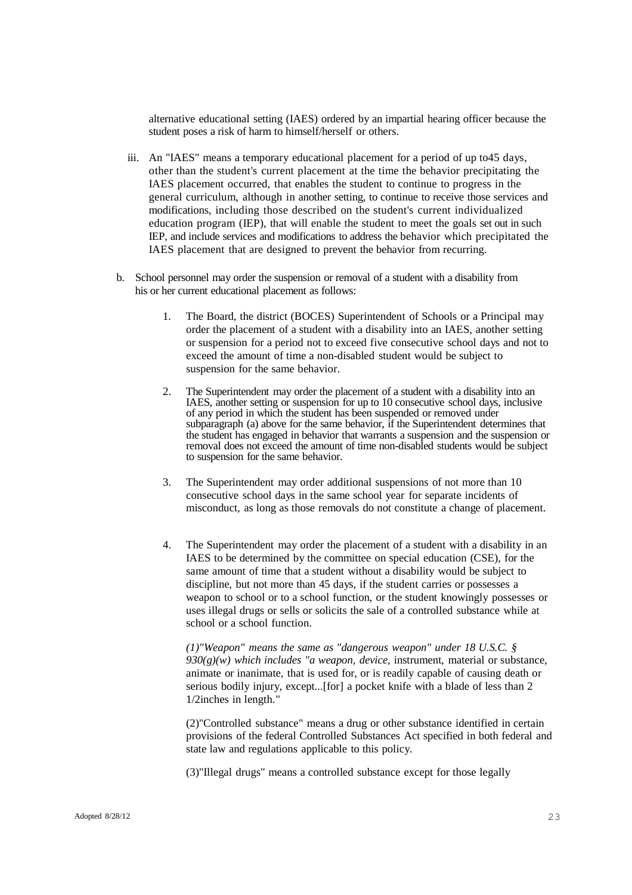alternative educational setting (IAES) ordered by an impartial hearing officer because the student poses a risk of harm to himself/herself or others.

- iii. An "IAES" means a temporary educational placement for a period of up to45 days, other than the student's current placement at the time the behavior precipitating the IAES placement occurred, that enables the student to continue to progress in the general curriculum, although in another setting, to continue to receive those services and modifications, including those described on the student's current individualized education program (IEP), that will enable the student to meet the goals set out in such IEP, and include services and modifications to address the behavior which precipitated the IAES placement that are designed to prevent the behavior from recurring.
- b. School personnel may order the suspension or removal of a student with a disability from his or her current educational placement as follows:
	- 1. The Board, the district (BOCES) Superintendent of Schools or a Principal may order the placement of a student with a disability into an IAES, another setting or suspension for a period not to exceed five consecutive school days and not to exceed the amount of time a non-disabled student would be subject to suspension for the same behavior.
	- 2. The Superintendent may order the placement of a student with a disability into an IAES, another setting or suspension for up to 10 consecutive school days, inclusive of any period in which the student has been suspended or removed under subparagraph (a) above for the same behavior, if the Superintendent determines that the student has engaged in behavior that warrants a suspension and the suspension or removal does not exceed the amount of time non-disabled students would be subject to suspension for the same behavior.
	- 3. The Superintendent may order additional suspensions of not more than 10 consecutive school days in the same school year for separate incidents of misconduct, as long as those removals do not constitute a change of placement.
	- 4. The Superintendent may order the placement of a student with a disability in an IAES to be determined by the committee on special education (CSE), for the same amount of time that a student without a disability would be subject to discipline, but not more than 45 days, if the student carries or possesses a weapon to school or to a school function, or the student knowingly possesses or uses illegal drugs or sells or solicits the sale of a controlled substance while at school or a school function.

*(1)"Weapon" means the same as "dangerous weapon" under 18 U.S.C. § 930(g)(w) which includes "a weapon, device,* instrument, material or substance, animate or inanimate, that is used for, or is readily capable of causing death or serious bodily injury, except...[for] a pocket knife with a blade of less than 2 1/2inches in length."

(2)"Controlled substance" means a drug or other substance identified in certain provisions of the federal Controlled Substances Act specified in both federal and state law and regulations applicable to this policy.

(3)"Illegal drugs" means a controlled substance except for those legally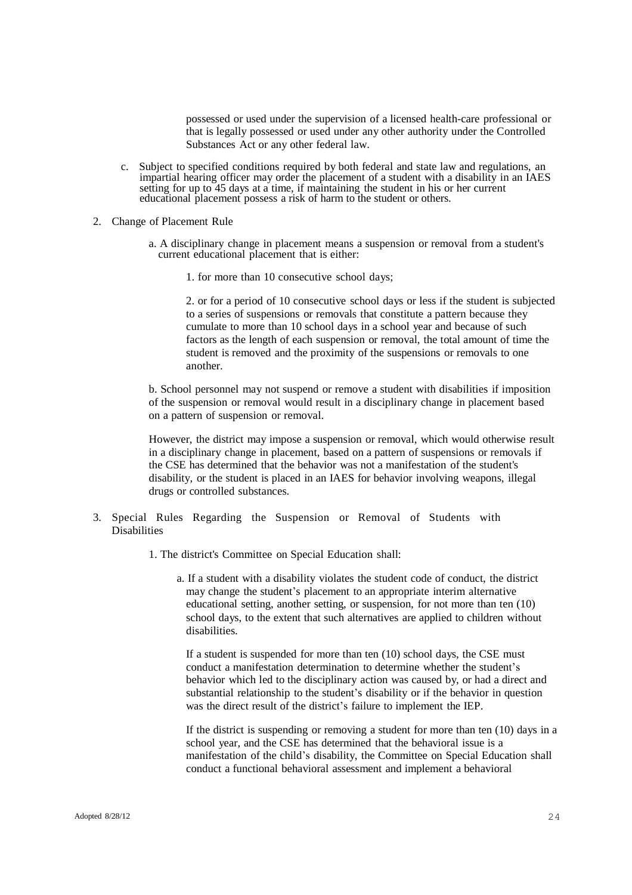possessed or used under the supervision of a licensed health-care professional or that is legally possessed or used under any other authority under the Controlled Substances Act or any other federal law.

- c. Subject to specified conditions required by both federal and state law and regulations, an impartial hearing officer may order the placement of a student with a disability in an IAES setting for up to 45 days at a time, if maintaining the student in his or her current educational placement possess a risk of harm to the student or others.
- 2. Change of Placement Rule
	- a. A disciplinary change in placement means a suspension or removal from a student's current educational placement that is either:
		- 1. for more than 10 consecutive school days;

2. or for a period of 10 consecutive school days or less if the student is subjected to a series of suspensions or removals that constitute a pattern because they cumulate to more than 10 school days in a school year and because of such factors as the length of each suspension or removal, the total amount of time the student is removed and the proximity of the suspensions or removals to one another.

b. School personnel may not suspend or remove a student with disabilities if imposition of the suspension or removal would result in a disciplinary change in placement based on a pattern of suspension or removal.

However, the district may impose a suspension or removal, which would otherwise result in a disciplinary change in placement, based on a pattern of suspensions or removals if the CSE has determined that the behavior was not a manifestation of the student's disability, or the student is placed in an IAES for behavior involving weapons, illegal drugs or controlled substances.

- 3. Special Rules Regarding the Suspension or Removal of Students with Disabilities
	- 1. The district's Committee on Special Education shall:
		- a. If a student with a disability violates the student code of conduct, the district may change the student's placement to an appropriate interim alternative educational setting, another setting, or suspension, for not more than ten (10) school days, to the extent that such alternatives are applied to children without disabilities.

If a student is suspended for more than ten (10) school days, the CSE must conduct a manifestation determination to determine whether the student's behavior which led to the disciplinary action was caused by, or had a direct and substantial relationship to the student's disability or if the behavior in question was the direct result of the district's failure to implement the IEP.

If the district is suspending or removing a student for more than ten (10) days in a school year, and the CSE has determined that the behavioral issue is a manifestation of the child's disability, the Committee on Special Education shall conduct a functional behavioral assessment and implement a behavioral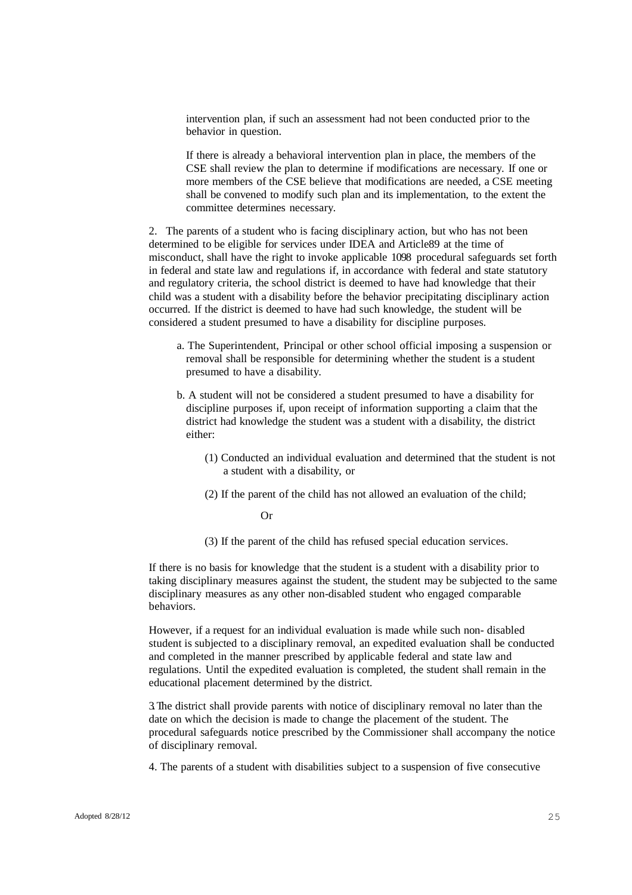intervention plan, if such an assessment had not been conducted prior to the behavior in question.

If there is already a behavioral intervention plan in place, the members of the CSE shall review the plan to determine if modifications are necessary. If one or more members of the CSE believe that modifications are needed, a CSE meeting shall be convened to modify such plan and its implementation, to the extent the committee determines necessary.

2. The parents of a student who is facing disciplinary action, but who has not been determined to be eligible for services under IDEA and Article89 at the time of misconduct, shall have the right to invoke applicable 1098 procedural safeguards set forth in federal and state law and regulations if, in accordance with federal and state statutory and regulatory criteria, the school district is deemed to have had knowledge that their child was a student with a disability before the behavior precipitating disciplinary action occurred. If the district is deemed to have had such knowledge, the student will be considered a student presumed to have a disability for discipline purposes.

- a. The Superintendent, Principal or other school official imposing a suspension or removal shall be responsible for determining whether the student is a student presumed to have a disability.
- b. A student will not be considered a student presumed to have a disability for discipline purposes if, upon receipt of information supporting a claim that the district had knowledge the student was a student with a disability, the district either:
	- (1) Conducted an individual evaluation and determined that the student is not a student with a disability, or
	- (2) If the parent of the child has not allowed an evaluation of the child;

Or

(3) If the parent of the child has refused special education services.

If there is no basis for knowledge that the student is a student with a disability prior to taking disciplinary measures against the student, the student may be subjected to the same disciplinary measures as any other non-disabled student who engaged comparable behaviors.

However, if a request for an individual evaluation is made while such non- disabled student is subjected to a disciplinary removal, an expedited evaluation shall be conducted and completed in the manner prescribed by applicable federal and state law and regulations. Until the expedited evaluation is completed, the student shall remain in the educational placement determined by the district.

3.The district shall provide parents with notice of disciplinary removal no later than the date on which the decision is made to change the placement of the student. The procedural safeguards notice prescribed by the Commissioner shall accompany the notice of disciplinary removal.

4. The parents of a student with disabilities subject to a suspension of five consecutive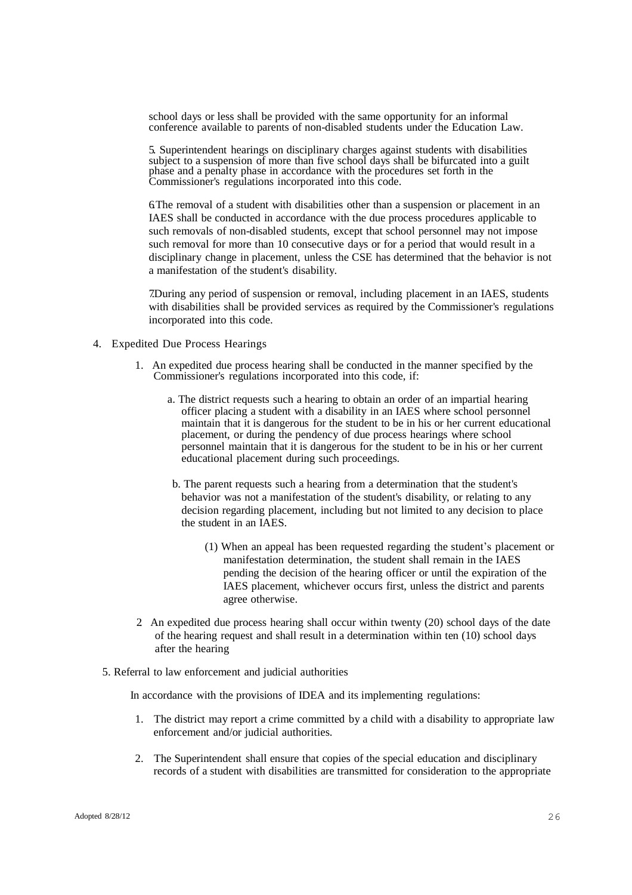school days or less shall be provided with the same opportunity for an informal conference available to parents of non-disabled students under the Education Law.

5. Superintendent hearings on disciplinary charges against students with disabilities subject to a suspension of more than five school days shall be bifurcated into a guilt phase and a penalty phase in accordance with the procedures set forth in the Commissioner's regulations incorporated into this code.

6. The removal of a student with disabilities other than a suspension or placement in an IAES shall be conducted in accordance with the due process procedures applicable to such removals of non-disabled students, except that school personnel may not impose such removal for more than 10 consecutive days or for a period that would result in a disciplinary change in placement, unless the CSE has determined that the behavior is not a manifestation of the student's disability.

7.During any period of suspension or removal, including placement in an IAES, students with disabilities shall be provided services as required by the Commissioner's regulations incorporated into this code.

- 4. Expedited Due Process Hearings
	- 1. An expedited due process hearing shall be conducted in the manner specified by the Commissioner's regulations incorporated into this code, if:
		- a. The district requests such a hearing to obtain an order of an impartial hearing officer placing a student with a disability in an IAES where school personnel maintain that it is dangerous for the student to be in his or her current educational placement, or during the pendency of due process hearings where school personnel maintain that it is dangerous for the student to be in his or her current educational placement during such proceedings.
		- b. The parent requests such a hearing from a determination that the student's behavior was not a manifestation of the student's disability, or relating to any decision regarding placement, including but not limited to any decision to place the student in an IAES.
			- (1) When an appeal has been requested regarding the student's placement or manifestation determination, the student shall remain in the IAES pending the decision of the hearing officer or until the expiration of the IAES placement, whichever occurs first, unless the district and parents agree otherwise.
	- 2. An expedited due process hearing shall occur within twenty (20) school days of the date of the hearing request and shall result in a determination within ten (10) school days after the hearing
	- 5. Referral to law enforcement and judicial authorities

In accordance with the provisions of IDEA and its implementing regulations:

- 1. The district may report a crime committed by a child with a disability to appropriate law enforcement and/or judicial authorities.
- 2. The Superintendent shall ensure that copies of the special education and disciplinary records of a student with disabilities are transmitted for consideration to the appropriate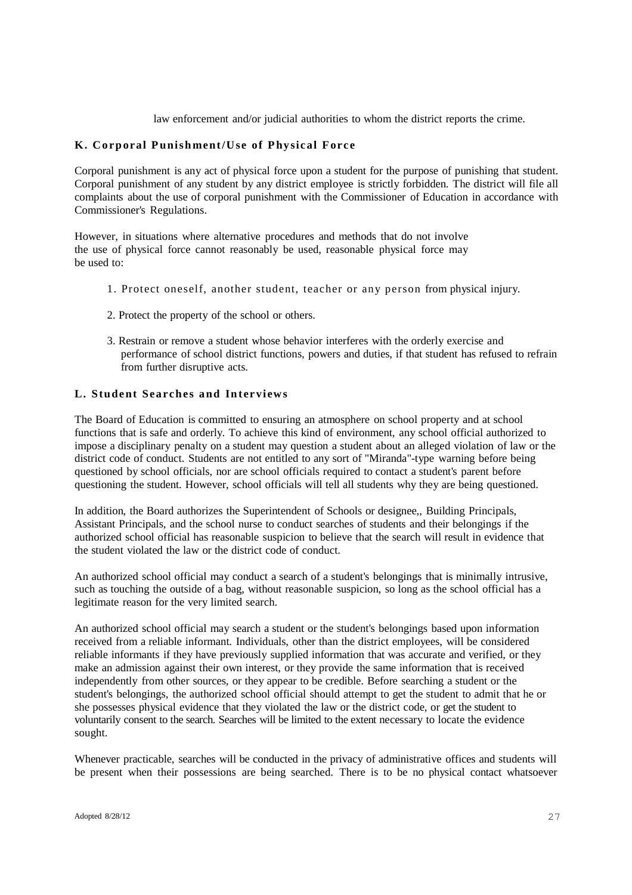law enforcement and/or judicial authorities to whom the district reports the crime.

# **K. Corporal Punishment/Use of Physical For c e**

Corporal punishment is any act of physical force upon a student for the purpose of punishing that student. Corporal punishment of any student by any district employee is strictly forbidden. The district will file all complaints about the use of corporal punishment with the Commissioner of Education in accordance with Commissioner's Regulations.

However, in situations where alternative procedures and methods that do not involve the use of physical force cannot reasonably be used, reasonable physical force may be used to:

- 1. Protect oneself, another student, teacher or any person from physical injury.
- 2. Protect the property of the school or others.
- 3. Restrain or remove a student whose behavior interferes with the orderly exercise and performance of school district functions, powers and duties, if that student has refused to refrain from further disruptive acts.

## **L. Student Sea r ches and Int ervi ews**

The Board of Education is committed to ensuring an atmosphere on school property and at school functions that is safe and orderly. To achieve this kind of environment, any school official authorized to impose a disciplinary penalty on a student may question a student about an alleged violation of law or the district code of conduct. Students are not entitled to any sort of "Miranda"-type warning before being questioned by school officials, nor are school officials required to contact a student's parent before questioning the student. However, school officials will tell all students why they are being questioned.

In addition, the Board authorizes the Superintendent of Schools or designee,, Building Principals, Assistant Principals, and the school nurse to conduct searches of students and their belongings if the authorized school official has reasonable suspicion to believe that the search will result in evidence that the student violated the law or the district code of conduct.

An authorized school official may conduct a search of a student's belongings that is minimally intrusive, such as touching the outside of a bag, without reasonable suspicion, so long as the school official has a legitimate reason for the very limited search.

An authorized school official may search a student or the student's belongings based upon information received from a reliable informant. Individuals, other than the district employees, will be considered reliable informants if they have previously supplied information that was accurate and verified, or they make an admission against their own interest, or they provide the same information that is received independently from other sources, or they appear to be credible. Before searching a student or the student's belongings, the authorized school official should attempt to get the student to admit that he or she possesses physical evidence that they violated the law or the district code, or get the student to voluntarily consent to the search. Searches will be limited to the extent necessary to locate the evidence sought.

Whenever practicable, searches will be conducted in the privacy of administrative offices and students will be present when their possessions are being searched. There is to be no physical contact whatsoever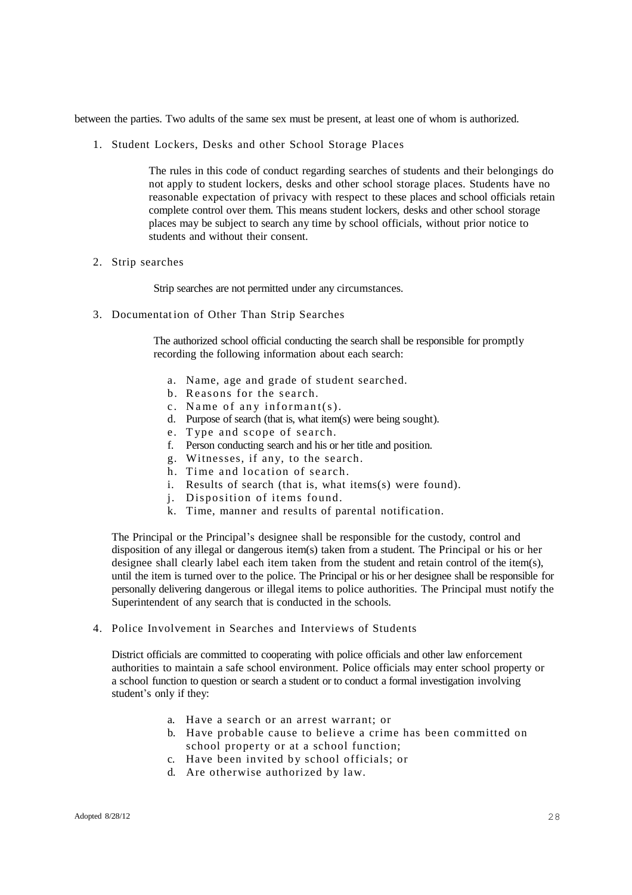between the parties. Two adults of the same sex must be present, at least one of whom is authorized.

1. Student Lockers, Desks and other School Storage Places

The rules in this code of conduct regarding searches of students and their belongings do not apply to student lockers, desks and other school storage places. Students have no reasonable expectation of privacy with respect to these places and school officials retain complete control over them. This means student lockers, desks and other school storage places may be subject to search any time by school officials, without prior notice to students and without their consent.

2. Strip searches

Strip searches are not permitted under any circumstances.

3. Documentat ion of Other Than Strip Searches

The authorized school official conducting the search shall be responsible for promptly recording the following information about each search:

- a. Name, age and grade of student searched.
- b. Reasons for the search.
- c. Name of any informant(s).
- d. Purpose of search (that is, what item(s) were being sought).
- e. Type and scope of search.
- f. Person conducting search and his or her title and position.
- g. Witnesses, if any, to the search.
- h. Time and location of search.
- i. Results of search (that is, what items(s) were found).
- j. Disposition of items found.
- k. Time, manner and results of parental notification.

The Principal or the Principal's designee shall be responsible for the custody, control and disposition of any illegal or dangerous item(s) taken from a student. The Principal or his or her designee shall clearly label each item taken from the student and retain control of the item(s), until the item is turned over to the police. The Principal or his or her designee shall be responsible for personally delivering dangerous or illegal items to police authorities. The Principal must notify the Superintendent of any search that is conducted in the schools.

4. Police Involvement in Searches and Interviews of Students

District officials are committed to cooperating with police officials and other law enforcement authorities to maintain a safe school environment. Police officials may enter school property or a school function to question or search a student or to conduct a formal investigation involving student's only if they:

- a. Have a search or an arrest warrant; or
- b. Have probable cause to believe a crime has been committed on school property or at a school function;
- c. Have been invited by school officials; or
- d. Are otherwise authorized by law.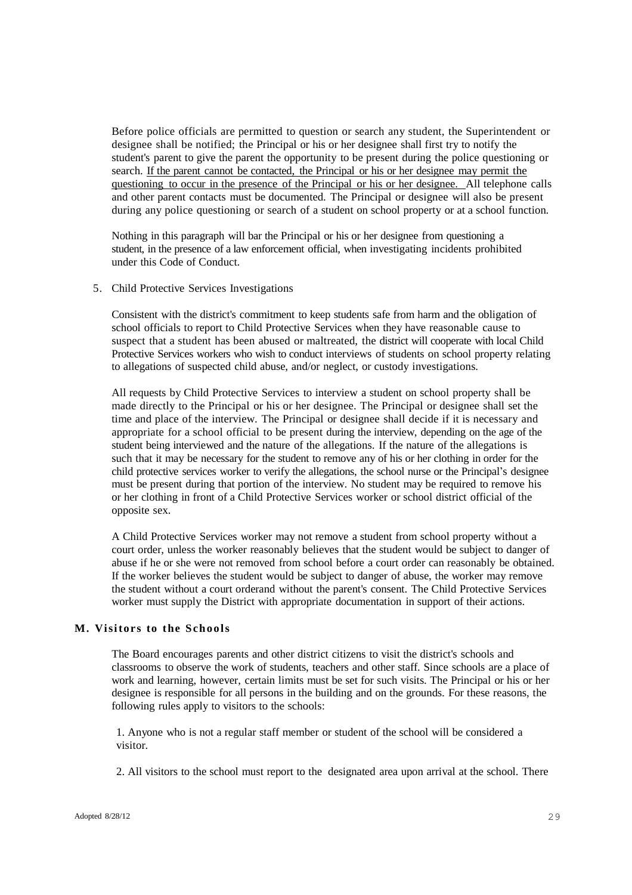Before police officials are permitted to question or search any student, the Superintendent or designee shall be notified; the Principal or his or her designee shall first try to notify the student's parent to give the parent the opportunity to be present during the police questioning or search. If the parent cannot be contacted, the Principal or his or her designee may permit the questioning to occur in the presence of the Principal or his or her designee. All telephone calls and other parent contacts must be documented. The Principal or designee will also be present during any police questioning or search of a student on school property or at a school function.

Nothing in this paragraph will bar the Principal or his or her designee from questioning a student, in the presence of a law enforcement official, when investigating incidents prohibited under this Code of Conduct.

5. Child Protective Services Investigations

Consistent with the district's commitment to keep students safe from harm and the obligation of school officials to report to Child Protective Services when they have reasonable cause to suspect that a student has been abused or maltreated, the district will cooperate with local Child Protective Services workers who wish to conduct interviews of students on school property relating to allegations of suspected child abuse, and/or neglect, or custody investigations.

All requests by Child Protective Services to interview a student on school property shall be made directly to the Principal or his or her designee. The Principal or designee shall set the time and place of the interview. The Principal or designee shall decide if it is necessary and appropriate for a school official to be present during the interview, depending on the age of the student being interviewed and the nature of the allegations. If the nature of the allegations is such that it may be necessary for the student to remove any of his or her clothing in order for the child protective services worker to verify the allegations, the school nurse or the Principal's designee must be present during that portion of the interview. No student may be required to remove his or her clothing in front of a Child Protective Services worker or school district official of the opposite sex.

A Child Protective Services worker may not remove a student from school property without a court order, unless the worker reasonably believes that the student would be subject to danger of abuse if he or she were not removed from school before a court order can reasonably be obtained. If the worker believes the student would be subject to danger of abuse, the worker may remove the student without a court orderand without the parent's consent. The Child Protective Services worker must supply the District with appropriate documentation in support of their actions.

### **M. Visitor s to the Schools**

The Board encourages parents and other district citizens to visit the district's schools and classrooms to observe the work of students, teachers and other staff. Since schools are a place of work and learning, however, certain limits must be set for such visits. The Principal or his or her designee is responsible for all persons in the building and on the grounds. For these reasons, the following rules apply to visitors to the schools:

1. Anyone who is not a regular staff member or student of the school will be considered a visitor.

2. All visitors to the school must report to the designated area upon arrival at the school. There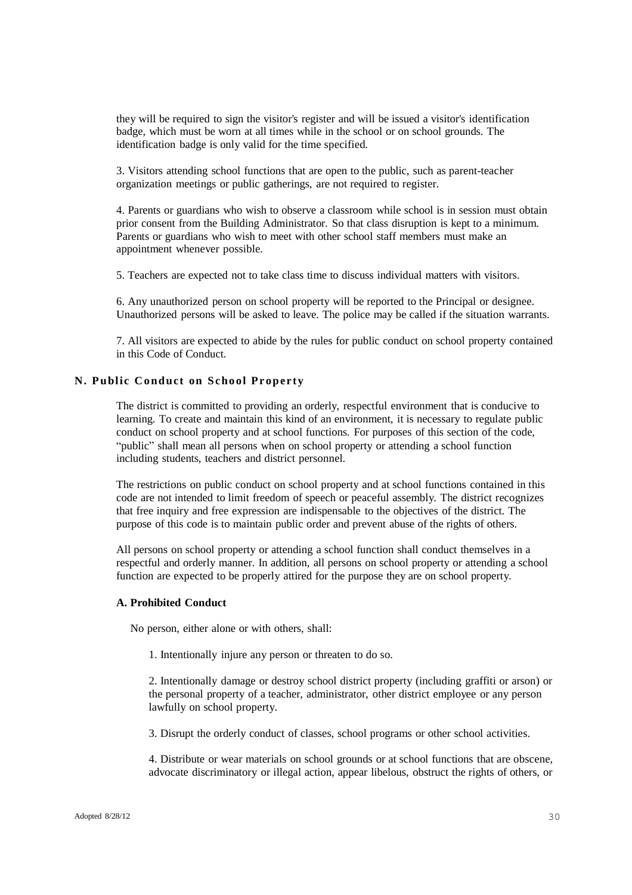they will be required to sign the visitor's register and will be issued a visitor's identification badge, which must be worn at all times while in the school or on school grounds. The identification badge is only valid for the time specified.

3. Visitors attending school functions that are open to the public, such as parent-teacher organization meetings or public gatherings, are not required to register.

4. Parents or guardians who wish to observe a classroom while school is in session must obtain prior consent from the Building Administrator. So that class disruption is kept to a minimum. Parents or guardians who wish to meet with other school staff members must make an appointment whenever possible.

5. Teachers are expected not to take class time to discuss individual matters with visitors.

6. Any unauthorized person on school property will be reported to the Principal or designee. Unauthorized persons will be asked to leave. The police may be called if the situation warrants.

7. All visitors are expected to abide by the rules for public conduct on school property contained in this Code of Conduct.

### **N. Public Conduct on School Prope r ty**

The district is committed to providing an orderly, respectful environment that is conducive to learning. To create and maintain this kind of an environment, it is necessary to regulate public conduct on school property and at school functions. For purposes of this section of the code, "public" shall mean all persons when on school property or attending a school function including students, teachers and district personnel.

The restrictions on public conduct on school property and at school functions contained in this code are not intended to limit freedom of speech or peaceful assembly. The district recognizes that free inquiry and free expression are indispensable to the objectives of the district. The purpose of this code is to maintain public order and prevent abuse of the rights of others.

All persons on school property or attending a school function shall conduct themselves in a respectful and orderly manner. In addition, all persons on school property or attending a school function are expected to be properly attired for the purpose they are on school property.

#### **A. Prohibited Conduct**

No person, either alone or with others, shall:

1. Intentionally injure any person or threaten to do so.

2. Intentionally damage or destroy school district property (including graffiti or arson) or the personal property of a teacher, administrator, other district employee or any person lawfully on school property.

3. Disrupt the orderly conduct of classes, school programs or other school activities.

4. Distribute or wear materials on school grounds or at school functions that are obscene, advocate discriminatory or illegal action, appear libelous, obstruct the rights of others, or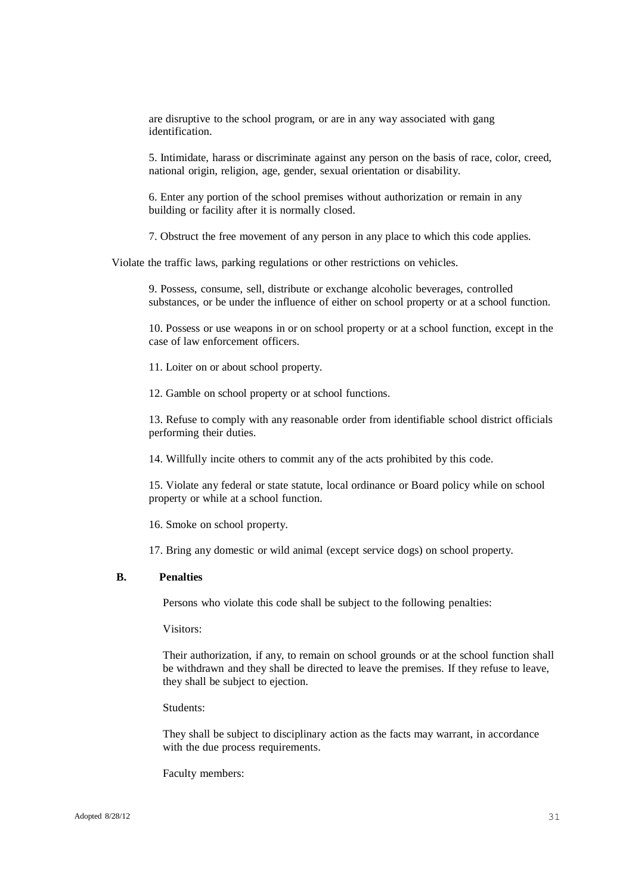are disruptive to the school program, or are in any way associated with gang identification.

5. Intimidate, harass or discriminate against any person on the basis of race, color, creed, national origin, religion, age, gender, sexual orientation or disability.

6. Enter any portion of the school premises without authorization or remain in any building or facility after it is normally closed.

7. Obstruct the free movement of any person in any place to which this code applies.

Violate the traffic laws, parking regulations or other restrictions on vehicles.

9. Possess, consume, sell, distribute or exchange alcoholic beverages, controlled substances, or be under the influence of either on school property or at a school function.

10. Possess or use weapons in or on school property or at a school function, except in the case of law enforcement officers.

11. Loiter on or about school property.

12. Gamble on school property or at school functions.

13. Refuse to comply with any reasonable order from identifiable school district officials performing their duties.

14. Willfully incite others to commit any of the acts prohibited by this code.

15. Violate any federal or state statute, local ordinance or Board policy while on school property or while at a school function.

16. Smoke on school property.

17. Bring any domestic or wild animal (except service dogs) on school property.

## **B. Penalties**

Persons who violate this code shall be subject to the following penalties:

Visitors:

Their authorization, if any, to remain on school grounds or at the school function shall be withdrawn and they shall be directed to leave the premises. If they refuse to leave, they shall be subject to ejection.

### Students:

They shall be subject to disciplinary action as the facts may warrant, in accordance with the due process requirements.

Faculty members: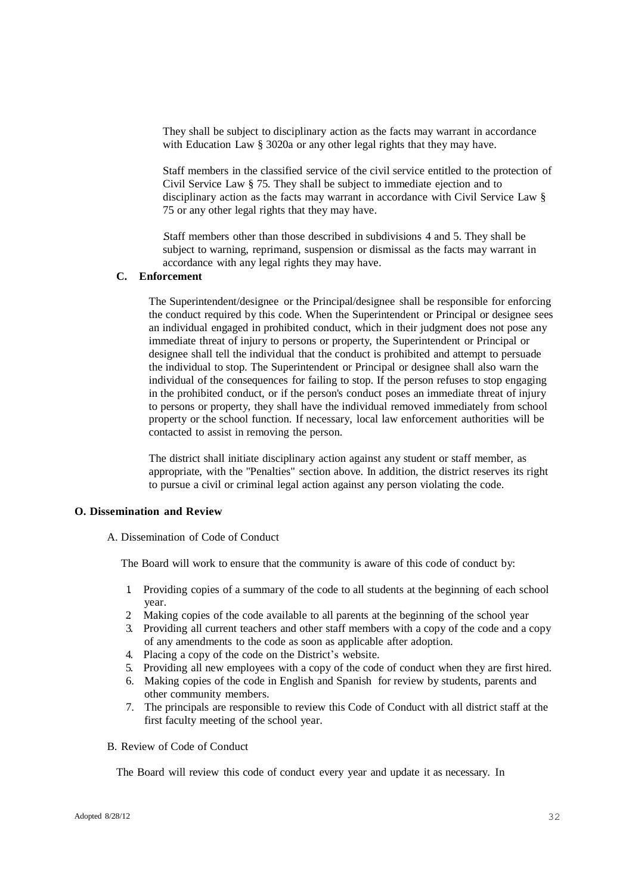They shall be subject to disciplinary action as the facts may warrant in accordance with Education Law § 3020a or any other legal rights that they may have.

Staff members in the classified service of the civil service entitled to the protection of Civil Service Law § 75. They shall be subject to immediate ejection and to disciplinary action as the facts may warrant in accordance with Civil Service Law § 75 or any other legal rights that they may have.

.Staff members other than those described in subdivisions 4 and 5. They shall be subject to warning, reprimand, suspension or dismissal as the facts may warrant in accordance with any legal rights they may have.

### **C. Enforcement**

The Superintendent/designee or the Principal/designee shall be responsible for enforcing the conduct required by this code. When the Superintendent or Principal or designee sees an individual engaged in prohibited conduct, which in their judgment does not pose any immediate threat of injury to persons or property, the Superintendent or Principal or designee shall tell the individual that the conduct is prohibited and attempt to persuade the individual to stop. The Superintendent or Principal or designee shall also warn the individual of the consequences for failing to stop. If the person refuses to stop engaging in the prohibited conduct, or if the person's conduct poses an immediate threat of injury to persons or property, they shall have the individual removed immediately from school property or the school function. If necessary, local law enforcement authorities will be contacted to assist in removing the person.

The district shall initiate disciplinary action against any student or staff member, as appropriate, with the "Penalties" section above. In addition, the district reserves its right to pursue a civil or criminal legal action against any person violating the code.

#### **O. Dissemination and Review**

A. Dissemination of Code of Conduct

The Board will work to ensure that the community is aware of this code of conduct by:

- 1. Providing copies of a summary of the code to all students at the beginning of each school year.
- 2. Making copies of the code available to all parents at the beginning of the school year
- 3. Providing all current teachers and other staff members with a copy of the code and a copy of any amendments to the code as soon as applicable after adoption.
- 4. Placing a copy of the code on the District's website.
- 5. Providing all new employees with a copy of the code of conduct when they are first hired.
- 6. Making copies of the code in English and Spanish for review by students, parents and other community members.
- 7. The principals are responsible to review this Code of Conduct with all district staff at the first faculty meeting of the school year.
- B. Review of Code of Conduct

The Board will review this code of conduct every year and update it as necessary. In